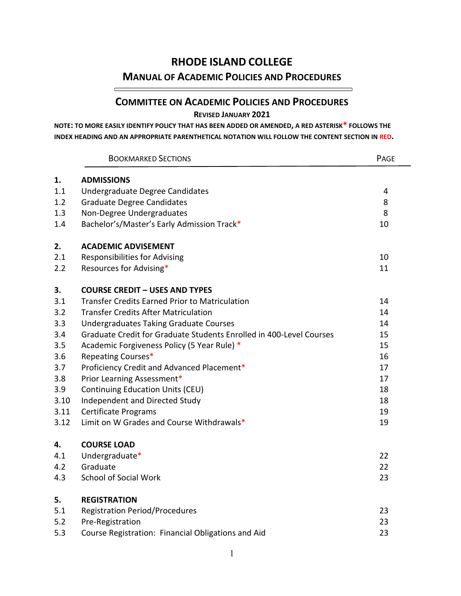# **RHODE ISLAND COLLEGE**

# **MANUAL OF ACADEMIC POLICIES AND PROCEDURES**

# **COMMITTEE ON ACADEMIC POLICIES AND PROCEDURES**

**REVISED JANUARY 2021**

**NOTE: TO MORE EASILY IDENTIFY POLICY THAT HAS BEEN ADDED OR AMENDED, A RED ASTERISK\* FOLLOWS THE INDEX HEADING AND AN APPROPRIATE PARENTHETICAL NOTATION WILL FOLLOW THE CONTENT SECTION IN RED.**

 $\equiv$ 

|      | <b>BOOKMARKED SECTIONS</b>                                          | PAGE |
|------|---------------------------------------------------------------------|------|
| 1.   | <b>ADMISSIONS</b>                                                   |      |
| 1.1  | Undergraduate Degree Candidates                                     | 4    |
| 1.2  | <b>Graduate Degree Candidates</b>                                   | 8    |
| 1.3  | Non-Degree Undergraduates                                           | 8    |
| 1.4  | Bachelor's/Master's Early Admission Track*                          | 10   |
| 2.   | <b>ACADEMIC ADVISEMENT</b>                                          |      |
| 2.1  | <b>Responsibilities for Advising</b>                                | 10   |
| 2.2  | Resources for Advising*                                             | 11   |
| 3.   | <b>COURSE CREDIT - USES AND TYPES</b>                               |      |
| 3.1  | <b>Transfer Credits Earned Prior to Matriculation</b>               | 14   |
| 3.2  | <b>Transfer Credits After Matriculation</b>                         | 14   |
| 3.3  | <b>Undergraduates Taking Graduate Courses</b>                       | 14   |
| 3.4  | Graduate Credit for Graduate Students Enrolled in 400-Level Courses | 15   |
| 3.5  | Academic Forgiveness Policy (5 Year Rule) *                         | 15   |
| 3.6  | Repeating Courses*                                                  | 16   |
| 3.7  | Proficiency Credit and Advanced Placement*                          | 17   |
| 3.8  | Prior Learning Assessment*                                          | 17   |
| 3.9  | Continuing Education Units (CEU)                                    | 18   |
| 3.10 | Independent and Directed Study                                      | 18   |
| 3.11 | <b>Certificate Programs</b>                                         | 19   |
| 3.12 | Limit on W Grades and Course Withdrawals*                           | 19   |
| 4.   | <b>COURSE LOAD</b>                                                  |      |
| 4.1  | Undergraduate*                                                      | 22   |
| 4.2  | Graduate                                                            | 22   |
| 4.3  | <b>School of Social Work</b>                                        | 23   |
| 5.   | <b>REGISTRATION</b>                                                 |      |
| 5.1  | <b>Registration Period/Procedures</b>                               | 23   |
| 5.2  | Pre-Registration                                                    | 23   |
| 5.3  | Course Registration: Financial Obligations and Aid                  | 23   |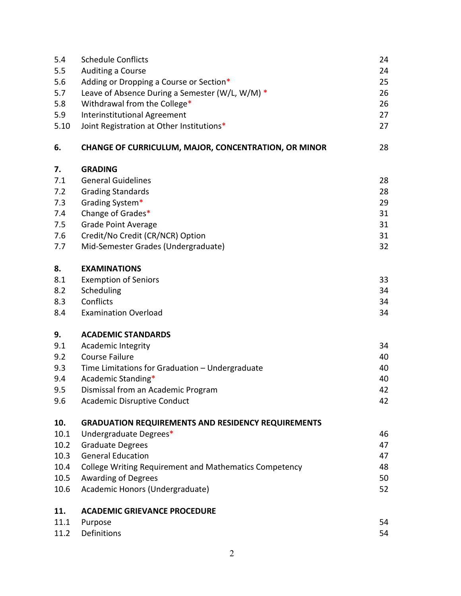| 5.4  | <b>Schedule Conflicts</b>                                 | 24 |
|------|-----------------------------------------------------------|----|
| 5.5  | Auditing a Course                                         | 24 |
| 5.6  | Adding or Dropping a Course or Section*                   | 25 |
| 5.7  | Leave of Absence During a Semester (W/L, W/M) $*$         | 26 |
| 5.8  | Withdrawal from the College*                              | 26 |
| 5.9  | Interinstitutional Agreement                              | 27 |
| 5.10 | Joint Registration at Other Institutions*                 | 27 |
| 6.   | CHANGE OF CURRICULUM, MAJOR, CONCENTRATION, OR MINOR      | 28 |
| 7.   | <b>GRADING</b>                                            |    |
| 7.1  | <b>General Guidelines</b>                                 | 28 |
| 7.2  | <b>Grading Standards</b>                                  | 28 |
| 7.3  | Grading System*                                           | 29 |
| 7.4  | Change of Grades*                                         | 31 |
| 7.5  | <b>Grade Point Average</b>                                | 31 |
| 7.6  | Credit/No Credit (CR/NCR) Option                          | 31 |
| 7.7  | Mid-Semester Grades (Undergraduate)                       | 32 |
| 8.   | <b>EXAMINATIONS</b>                                       |    |
| 8.1  | <b>Exemption of Seniors</b>                               | 33 |
| 8.2  | Scheduling                                                | 34 |
| 8.3  | Conflicts                                                 | 34 |
| 8.4  | <b>Examination Overload</b>                               | 34 |
| 9.   | <b>ACADEMIC STANDARDS</b>                                 |    |
| 9.1  | <b>Academic Integrity</b>                                 | 34 |
| 9.2  | <b>Course Failure</b>                                     | 40 |
| 9.3  | Time Limitations for Graduation - Undergraduate           | 40 |
| 9.4  | Academic Standing*                                        | 40 |
| 9.5  | Dismissal from an Academic Program                        | 42 |
| 9.6  | Academic Disruptive Conduct                               | 42 |
| 10.  | <b>GRADUATION REQUIREMENTS AND RESIDENCY REQUIREMENTS</b> |    |
| 10.1 | Undergraduate Degrees*                                    | 46 |
| 10.2 | <b>Graduate Degrees</b>                                   | 47 |
| 10.3 | <b>General Education</b>                                  | 47 |
| 10.4 | College Writing Requirement and Mathematics Competency    | 48 |
| 10.5 | <b>Awarding of Degrees</b>                                | 50 |
| 10.6 | Academic Honors (Undergraduate)                           | 52 |
| 11.  | <b>ACADEMIC GRIEVANCE PROCEDURE</b>                       |    |
| 11.1 | Purpose                                                   | 54 |
| 11.2 | Definitions                                               | 54 |
|      |                                                           |    |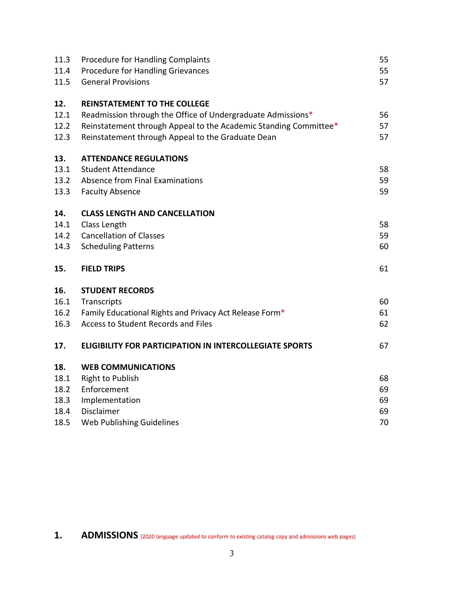| 11.3<br>11.4<br>11.5 | <b>Procedure for Handling Complaints</b><br>Procedure for Handling Grievances<br><b>General Provisions</b> | 55<br>55<br>57 |
|----------------------|------------------------------------------------------------------------------------------------------------|----------------|
|                      |                                                                                                            |                |
| 12.                  | <b>REINSTATEMENT TO THE COLLEGE</b>                                                                        |                |
| 12.1                 | Readmission through the Office of Undergraduate Admissions*                                                | 56             |
| 12.2                 | Reinstatement through Appeal to the Academic Standing Committee*                                           | 57             |
| 12.3                 | Reinstatement through Appeal to the Graduate Dean                                                          | 57             |
| 13.                  | <b>ATTENDANCE REGULATIONS</b>                                                                              |                |
| 13.1                 | <b>Student Attendance</b>                                                                                  | 58             |
| 13.2                 | Absence from Final Examinations                                                                            | 59             |
| 13.3                 | <b>Faculty Absence</b>                                                                                     | 59             |
| 14.                  | <b>CLASS LENGTH AND CANCELLATION</b>                                                                       |                |
| 14.1                 | Class Length                                                                                               | 58             |
| 14.2                 | <b>Cancellation of Classes</b>                                                                             | 59             |
| 14.3                 | <b>Scheduling Patterns</b>                                                                                 | 60             |
| 15.                  | <b>FIELD TRIPS</b>                                                                                         | 61             |
| 16.                  | <b>STUDENT RECORDS</b>                                                                                     |                |
| 16.1                 | Transcripts                                                                                                | 60             |
| 16.2                 | Family Educational Rights and Privacy Act Release Form*                                                    | 61             |
| 16.3                 | Access to Student Records and Files                                                                        | 62             |
| 17.                  | <b>ELIGIBILITY FOR PARTICIPATION IN INTERCOLLEGIATE SPORTS</b>                                             | 67             |
| 18.                  | <b>WEB COMMUNICATIONS</b>                                                                                  |                |
| 18.1                 | <b>Right to Publish</b>                                                                                    | 68             |
| 18.2                 | Enforcement                                                                                                | 69             |
| 18.3                 | Implementation                                                                                             | 69             |
| 18.4                 | Disclaimer                                                                                                 | 69             |
| 18.5                 | Web Publishing Guidelines                                                                                  | 70             |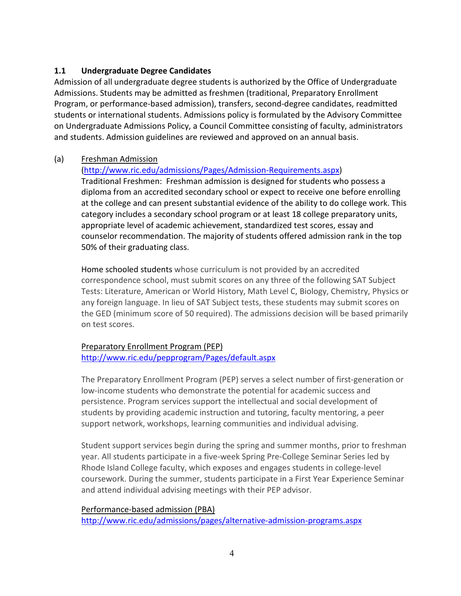## **1.1 Undergraduate Degree Candidates**

Admission of all undergraduate degree students is authorized by the Office of Undergraduate Admissions. Students may be admitted as freshmen (traditional, Preparatory Enrollment Program, or performance-based admission), transfers, second-degree candidates, readmitted students or international students. Admissions policy is formulated by the Advisory Committee on Undergraduate Admissions Policy, a Council Committee consisting of faculty, administrators and students. Admission guidelines are reviewed and approved on an annual basis.

#### (a) Freshman Admission

#### [\(http://www.ric.edu/admissions/Pages/Admission-Requirements.aspx\)](http://www.ric.edu/admissions/Pages/Admission-Requirements.aspx)

Traditional Freshmen: Freshman admission is designed for students who possess a diploma from an accredited secondary school or expect to receive one before enrolling at the college and can present substantial evidence of the ability to do college work. This category includes a secondary school program or at least 18 college preparatory units, appropriate level of academic achievement, standardized test scores, essay and counselor recommendation. The majority of students offered admission rank in the top 50% of their graduating class.

Home schooled students whose curriculum is not provided by an accredited correspondence school, must submit scores on any three of the following SAT Subject Tests: Literature, American or World History, Math Level C, Biology, Chemistry, Physics or any foreign language. In lieu of SAT Subject tests, these students may submit scores on the GED (minimum score of 50 required). The admissions decision will be based primarily on test scores.

## Preparatory Enrollment Program (PEP)

#### <http://www.ric.edu/pepprogram/Pages/default.aspx>

The Preparatory Enrollment Program (PEP) serves a select number of first-generation or low-income students who demonstrate the potential for academic success and persistence. Program services support the intellectual and social development of students by providing academic instruction and tutoring, faculty mentoring, a peer support network, workshops, learning communities and individual advising.

Student support services begin during the spring and summer months, prior to freshman year. All students participate in a five-week Spring Pre-College Seminar Series led by Rhode Island College faculty, which exposes and engages students in college-level coursework. During the summer, students participate in a First Year Experience Seminar and attend individual advising meetings with their PEP advisor.

#### Performance-based admission (PBA)

<http://www.ric.edu/admissions/pages/alternative-admission-programs.aspx>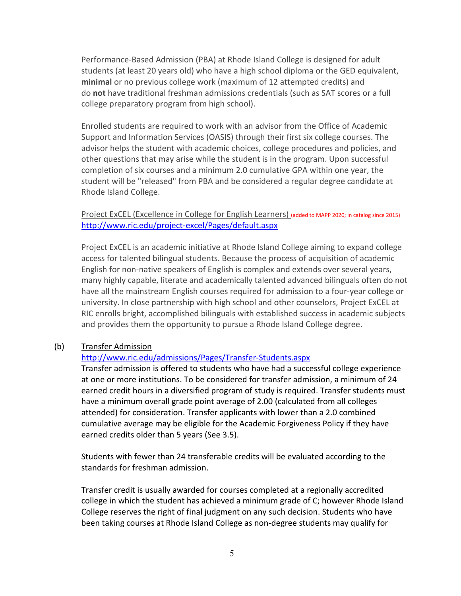Performance-Based Admission (PBA) at Rhode Island College is designed for adult students (at least 20 years old) who have a high school diploma or the GED equivalent, **minimal** or no previous college work (maximum of 12 attempted credits) and do **not** have traditional freshman admissions credentials (such as SAT scores or a full college preparatory program from high school).

Enrolled students are required to work with an advisor from the Office of Academic Support and Information Services (OASIS) through their first six college courses. The advisor helps the student with academic choices, college procedures and policies, and other questions that may arise while the student is in the program. Upon successful completion of six courses and a minimum 2.0 cumulative GPA within one year, the student will be "released" from PBA and be considered a regular degree candidate at Rhode Island College.

#### Project ExCEL (Excellence in College for English Learners) (added to MAPP 2020; in catalog since 2015) <http://www.ric.edu/project-excel/Pages/default.aspx>

Project ExCEL is an academic initiative at Rhode Island College aiming to expand college access for talented bilingual students. Because the process of acquisition of academic English for non-native speakers of English is complex and extends over several years, many highly capable, literate and academically talented advanced bilinguals often do not have all the mainstream English courses required for admission to a four-year college or university. In close partnership with high school and other counselors, Project ExCEL at RIC enrolls bright, accomplished bilinguals with established success in academic subjects and provides them the opportunity to pursue a Rhode Island College degree.

#### (b) Transfer Admission

#### <http://www.ric.edu/admissions/Pages/Transfer-Students.aspx>

Transfer admission is offered to students who have had a successful college experience at one or more institutions. To be considered for transfer admission, a minimum of 24 earned credit hours in a diversified program of study is required. Transfer students must have a minimum overall grade point average of 2.00 (calculated from all colleges attended) for consideration. Transfer applicants with lower than a 2.0 combined cumulative average may be eligible for the Academic Forgiveness Policy if they have earned credits older than 5 years (See 3.5).

Students with fewer than 24 transferable credits will be evaluated according to the standards for freshman admission.

Transfer credit is usually awarded for courses completed at a regionally accredited college in which the student has achieved a minimum grade of C; however Rhode Island College reserves the right of final judgment on any such decision. Students who have been taking courses at Rhode Island College as non-degree students may qualify for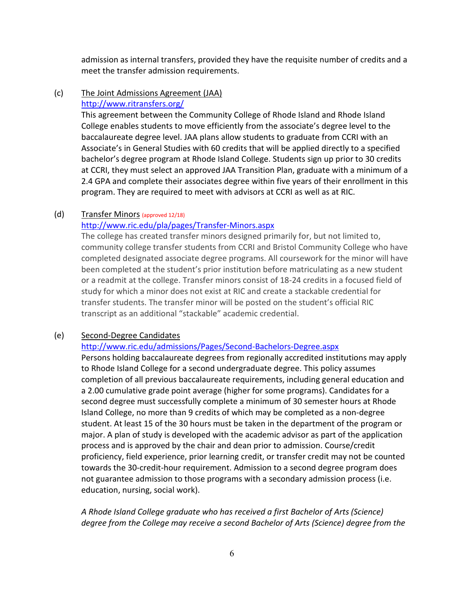admission as internal transfers, provided they have the requisite number of credits and a meet the transfer admission requirements.

#### (c) The Joint Admissions Agreement (JAA) <http://www.ritransfers.org/>

This agreement between the Community College of Rhode Island and Rhode Island College enables students to move efficiently from the associate's degree level to the baccalaureate degree level. JAA plans allow students to graduate from CCRI with an Associate's in General Studies with 60 credits that will be applied directly to a specified bachelor's degree program at Rhode Island College. Students sign up prior to 30 credits at CCRI, they must select an approved JAA Transition Plan, graduate with a minimum of a 2.4 GPA and complete their associates degree within five years of their enrollment in this program. They are required to meet with advisors at CCRI as well as at RIC.

#### (d) Transfer Minors (approved 12/18)

## <http://www.ric.edu/pla/pages/Transfer-Minors.aspx>

The college has created transfer minors designed primarily for, but not limited to, community college transfer students from CCRI and Bristol Community College who have completed designated associate degree programs. All coursework for the minor will have been completed at the student's prior institution before matriculating as a new student or a readmit at the college. Transfer minors consist of 18-24 credits in a focused field of study for which a minor does not exist at RIC and create a stackable credential for transfer students. The transfer minor will be posted on the student's official RIC transcript as an additional "stackable" academic credential.

#### (e) Second-Degree Candidates

#### <http://www.ric.edu/admissions/Pages/Second-Bachelors-Degree.aspx>

Persons holding baccalaureate degrees from regionally accredited institutions may apply to Rhode Island College for a second undergraduate degree. This policy assumes completion of all previous baccalaureate requirements, including general education and a 2.00 cumulative grade point average (higher for some programs). Candidates for a second degree must successfully complete a minimum of 30 semester hours at Rhode Island College, no more than 9 credits of which may be completed as a non-degree student. At least 15 of the 30 hours must be taken in the department of the program or major. A plan of study is developed with the academic advisor as part of the application process and is approved by the chair and dean prior to admission. Course/credit proficiency, field experience, prior learning credit, or transfer credit may not be counted towards the 30-credit-hour requirement. Admission to a second degree program does not guarantee admission to those programs with a secondary admission process (i.e. education, nursing, social work).

*A Rhode Island College graduate who has received a first Bachelor of Arts (Science) degree from the College may receive a second Bachelor of Arts (Science) degree from the*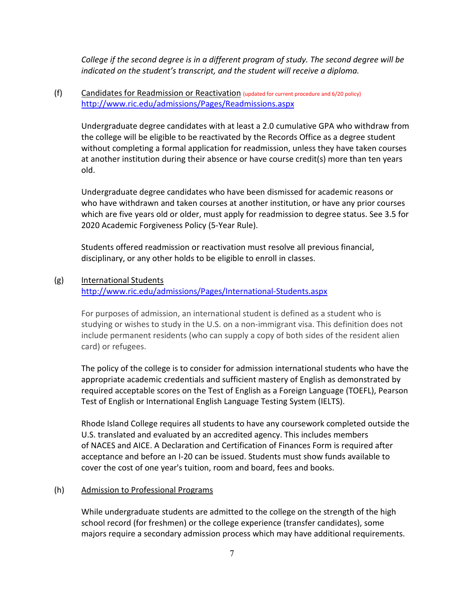*College if the second degree is in a different program of study. The second degree will be indicated on the student's transcript, and the student will receive a diploma.* 

## (f) Candidates for Readmission or Reactivation (updated for current procedure and 6/20 policy) <http://www.ric.edu/admissions/Pages/Readmissions.aspx>

Undergraduate degree candidates with at least a 2.0 cumulative GPA who withdraw from the college will be eligible to be reactivated by the Records Office as a degree student without completing a formal application for readmission, unless they have taken courses at another institution during their absence or have course credit(s) more than ten years old.

Undergraduate degree candidates who have been dismissed for academic reasons or who have withdrawn and taken courses at another institution, or have any prior courses which are five years old or older, must apply for readmission to degree status. See 3.5 for 2020 Academic Forgiveness Policy (5-Year Rule).

Students offered readmission or reactivation must resolve all previous financial, disciplinary, or any other holds to be eligible to enroll in classes.

## (g) International Students

<http://www.ric.edu/admissions/Pages/International-Students.aspx>

For purposes of admission, an international student is defined as a student who is studying or wishes to study in the U.S. on a non-immigrant visa. This definition does not include permanent residents (who can supply a copy of both sides of the resident alien card) or refugees.

The policy of the college is to consider for admission international students who have the appropriate academic credentials and sufficient mastery of English as demonstrated by required acceptable scores on the Test of English as a Foreign Language (TOEFL), Pearson Test of English or International English Language Testing System (IELTS).

Rhode Island College requires all students to have any coursework completed outside the U.S. translated and evaluated by an accredited agency. This includes members of [NACES](http://www.naces.org/) and [AICE.](http://www.aice-eval.org/) A [Declaration and Certification of Finances Form](http://www.ric.edu/admissions/Documents/2018-19DeclarationofFinancesForms.pdf) is required after acceptance and before an I-20 can be issued. Students must show funds available to cover the cost of one year's tuition, room and board, fees and books.

## (h) Admission to Professional Programs

While undergraduate students are admitted to the college on the strength of the high school record (for freshmen) or the college experience (transfer candidates), some majors require a secondary admission process which may have additional requirements.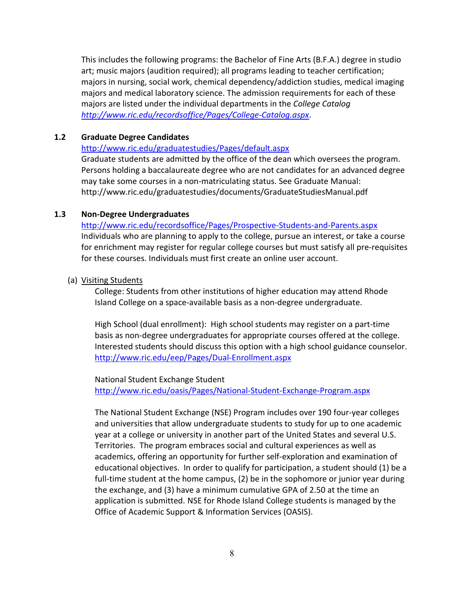This includes the following programs: the Bachelor of Fine Arts (B.F.A.) degree in studio art; music majors (audition required); all programs leading to teacher certification; majors in nursing, social work, chemical dependency/addiction studies, medical imaging majors and medical laboratory science. The admission requirements for each of these majors are listed under the individual departments in the *College Catalog <http://www.ric.edu/recordsoffice/Pages/College-Catalog.aspx>*.

#### **1.2 Graduate Degree Candidates**

#### <http://www.ric.edu/graduatestudies/Pages/default.aspx>

Graduate students are admitted by the office of the dean which oversees the program. Persons holding a baccalaureate degree who are not candidates for an advanced degree may take some courses in a non-matriculating status. See Graduate Manual: http://www.ric.edu/graduatestudies/documents/GraduateStudiesManual.pdf

#### **1.3 Non-Degree Undergraduates**

<http://www.ric.edu/recordsoffice/Pages/Prospective-Students-and-Parents.aspx> Individuals who are planning to apply to the college, pursue an interest, or take a course for enrichment may register for regular college courses but must satisfy all pre-requisites for these courses. Individuals must first create an online user account.

#### (a) Visiting Students

College: Students from other institutions of higher education may attend Rhode Island College on a space-available basis as a non-degree undergraduate.

High School (dual enrollment): High school students may register on a part-time basis as non-degree undergraduates for appropriate courses offered at the college. Interested students should discuss this option with a high school guidance counselor. <http://www.ric.edu/eep/Pages/Dual-Enrollment.aspx>

National Student Exchange Student <http://www.ric.edu/oasis/Pages/National-Student-Exchange-Program.aspx>

The National Student Exchange (NSE) Program includes over 190 four-year colleges and universities that allow undergraduate students to study for up to one academic year at a college or university in another part of the United States and several U.S. Territories. The program embraces social and cultural experiences as well as academics, offering an opportunity for further self-exploration and examination of educational objectives. In order to qualify for participation, a student should (1) be a full-time student at the home campus, (2) be in the sophomore or junior year during the exchange, and (3) have a minimum cumulative GPA of 2.50 at the time an application is submitted. NSE for Rhode Island College students is managed by the Office of Academic Support & Information Services (OASIS).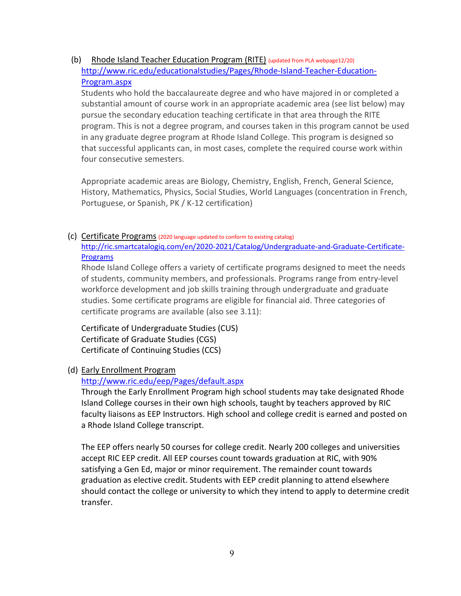(b) Rhode Island Teacher Education Program (RITE) (updated from PLA webpage12/20) [http://www.ric.edu/educationalstudies/Pages/Rhode-Island-Teacher-Education-](http://www.ric.edu/educationalstudies/Pages/Rhode-Island-Teacher-Education-Program.aspx)[Program.aspx](http://www.ric.edu/educationalstudies/Pages/Rhode-Island-Teacher-Education-Program.aspx)

Students who hold the baccalaureate degree and who have majored in or completed a substantial amount of course work in an appropriate academic area (see list below) may pursue the secondary education teaching certificate in that area through the RITE program. This is not a degree program, and courses taken in this program cannot be used in any graduate degree program at Rhode Island College. This program is designed so that successful applicants can, in most cases, complete the required course work within four consecutive semesters.

Appropriate academic areas are Biology, Chemistry, English, French, General Science, History, Mathematics, Physics, Social Studies, World Languages (concentration in French, Portuguese, or Spanish, PK / K-12 certification)

(c) Certificate Programs (2020 language updated to conform to existing catalog) http://ric.smartcatalogiq.com/en/2020-2021/Catalog/Undergraduate-and-Graduate-Certificate-**Programs** 

Rhode Island College offers a variety of certificate programs designed to meet the needs of students, community members, and professionals. Programs range from entry-level workforce development and job skills training through undergraduate and graduate studies. Some certificate programs are eligible for financial aid. Three categories of certificate programs are available (also see 3.11):

[Certificate of Undergraduate Studies \(CUS\)](http://www.ric.edu/continuingeducationsummersession/Pages/certificateprograms.aspx#CUS) [Certificate of Graduate Studies \(CGS\)](http://www.ric.edu/continuingeducationsummersession/Pages/certificateprograms.aspx#CGS) [Certificate of Continuing Studies \(CCS\)](http://www.ric.edu/continuingeducationsummersession/Pages/certificateprograms.aspx#CCS)

## (d) Early Enrollment Program

## <http://www.ric.edu/eep/Pages/default.aspx>

Through the Early Enrollment Program high school students may take designated Rhode Island College courses in their own high schools, taught by teachers approved by RIC faculty liaisons as EEP Instructors. High school and college credit is earned and posted on a Rhode Island College transcript.

The EEP offers nearly 50 courses for college credit. Nearly 200 colleges and universities accept RIC EEP credit. All EEP courses count towards graduation at RIC, with 90% satisfying a Gen Ed, major or minor requirement. The remainder count towards graduation as elective credit. Students with EEP credit planning to attend elsewhere should contact the college or university to which they intend to apply to determine credit transfer.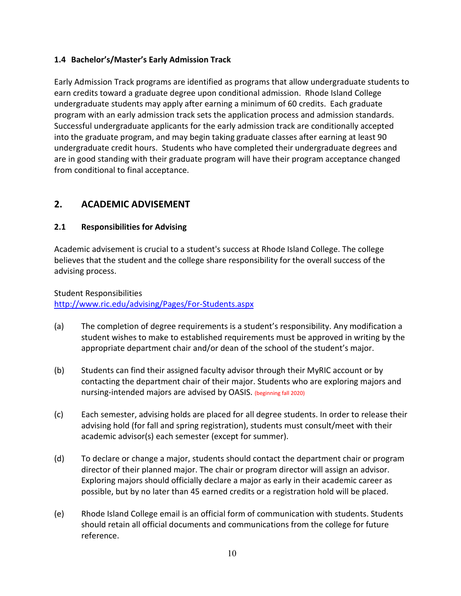## **1.4 Bachelor's/Master's Early Admission Track**

Early Admission Track programs are identified as programs that allow undergraduate students to earn credits toward a graduate degree upon conditional admission. Rhode Island College undergraduate students may apply after earning a minimum of 60 credits. Each graduate program with an early admission track sets the application process and admission standards. Successful undergraduate applicants for the early admission track are conditionally accepted into the graduate program, and may begin taking graduate classes after earning at least 90 undergraduate credit hours. Students who have completed their undergraduate degrees and are in good standing with their graduate program will have their program acceptance changed from conditional to final acceptance.

# **2. ACADEMIC ADVISEMENT**

## **2.1 Responsibilities for Advising**

Academic advisement is crucial to a student's success at Rhode Island College. The college believes that the student and the college share responsibility for the overall success of the advising process.

#### Student Responsibilities

<http://www.ric.edu/advising/Pages/For-Students.aspx>

- (a) The completion of degree requirements is a student's responsibility. Any modification a student wishes to make to established requirements must be approved in writing by the appropriate department chair and/or dean of the school of the student's major.
- (b) Students can find their assigned faculty advisor through their MyRIC account or by contacting the department chair of their major. Students who are exploring majors and nursing-intended majors are advised by OASIS. (beginning fall 2020)
- (c) Each semester, advising holds are placed for all degree students. In order to release their advising hold (for fall and spring registration), students must consult/meet with their academic advisor(s) each semester (except for summer).
- (d) To declare or change a major, students should contact the department chair or program director of their planned major. The chair or program director will assign an advisor. Exploring majors should officially declare a major as early in their academic career as possible, but by no later than 45 earned credits or a registration hold will be placed.
- (e) Rhode Island College email is an official form of communication with students. Students should retain all official documents and communications from the college for future reference.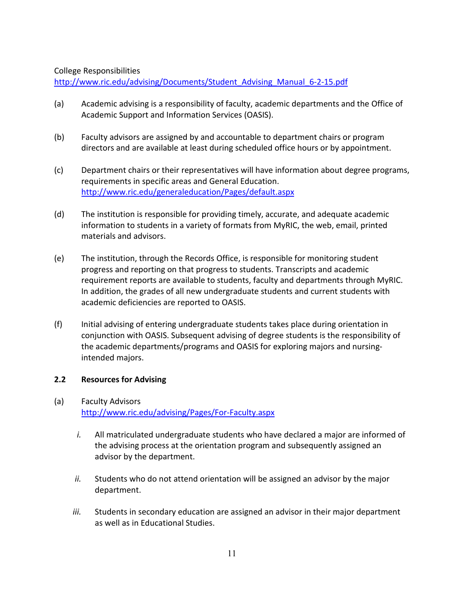#### College Responsibilities

[http://www.ric.edu/advising/Documents/Student\\_Advising\\_Manual\\_6-2-15.pdf](http://www.ric.edu/advising/Documents/Student_Advising_Manual_6-2-15.pdf)

- (a) Academic advising is a responsibility of faculty, academic departments and the Office of Academic Support and Information Services (OASIS).
- (b) Faculty advisors are assigned by and accountable to department chairs or program directors and are available at least during scheduled office hours or by appointment.
- (c) Department chairs or their representatives will have information about degree programs, requirements in specific areas and General Education. <http://www.ric.edu/generaleducation/Pages/default.aspx>
- (d) The institution is responsible for providing timely, accurate, and adequate academic information to students in a variety of formats from MyRIC, the web, email, printed materials and advisors.
- (e) The institution, through the Records Office, is responsible for monitoring student progress and reporting on that progress to students. Transcripts and academic requirement reports are available to students, faculty and departments through MyRIC. In addition, the grades of all new undergraduate students and current students with academic deficiencies are reported to OASIS.
- (f) Initial advising of entering undergraduate students takes place during orientation in conjunction with OASIS. Subsequent advising of degree students is the responsibility of the academic departments/programs and OASIS for exploring majors and nursingintended majors.

## **2.2 Resources for Advising**

## (a) Faculty Advisors <http://www.ric.edu/advising/Pages/For-Faculty.aspx>

- *i.* All matriculated undergraduate students who have declared a major are informed of the advising process at the orientation program and subsequently assigned an advisor by the department.
- *ii.* Students who do not attend orientation will be assigned an advisor by the major department.
- *iii.* Students in secondary education are assigned an advisor in their major department as well as in Educational Studies.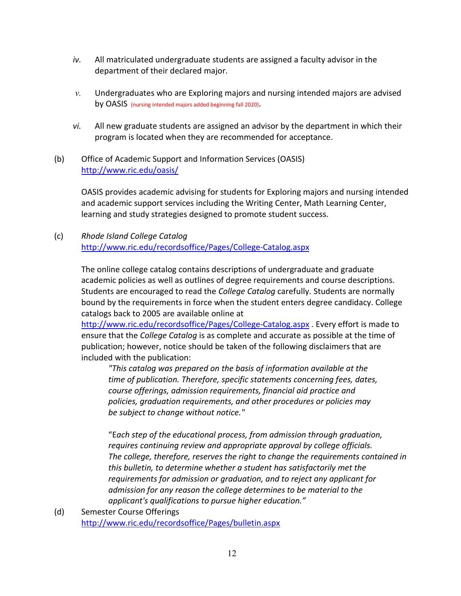- *iv.* All matriculated undergraduate students are assigned a faculty advisor in the department of their declared major.
- *v.* Undergraduates who are Exploring majors and nursing intended majors are advised by OASIS (nursing intended majors added beginning fall 2020).
- *vi.* All new graduate students are assigned an advisor by the department in which their program is located when they are recommended for acceptance.
- (b) Office of Academic Support and Information Services (OASIS) <http://www.ric.edu/oasis/>

OASIS provides academic advising for students for Exploring majors and nursing intended and academic support services including the Writing Center, Math Learning Center, learning and study strategies designed to promote student success.

(c) *Rhode Island College Catalog* <http://www.ric.edu/recordsoffice/Pages/College-Catalog.aspx>

> The online college catalog contains descriptions of undergraduate and graduate academic policies as well as outlines of degree requirements and course descriptions. Students are encouraged to read the *College Catalog* carefully. Students are normally bound by the requirements in force when the student enters degree candidacy. College catalogs back to 2005 are available online at

<http://www.ric.edu/recordsoffice/Pages/College-Catalog.aspx> . Every effort is made to ensure that the *College Catalog* is as complete and accurate as possible at the time of publication; however, notice should be taken of the following disclaimers that are included with the publication:

*"This catalog was prepared on the basis of information available at the time of publication. Therefore, specific statements concerning fees, dates, course offerings, admission requirements, financial aid practice and policies, graduation requirements, and other procedures or policies may be subject to change without notice."*

"E*ach step of the educational process, from admission through graduation, requires continuing review and appropriate approval by college officials. The college, therefore, reserves the right to change the requirements contained in this bulletin, to determine whether a student has satisfactorily met the requirements for admission or graduation, and to reject any applicant for admission for any reason the college determines to be material to the applicant's qualifications to pursue higher education."*

(d) Semester Course Offerings <http://www.ric.edu/recordsoffice/Pages/bulletin.aspx>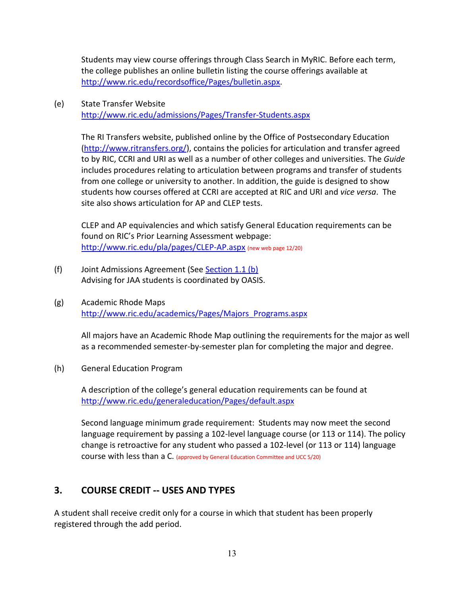Students may view course offerings through Class Search in MyRIC. Before each term, the college publishes an online bulletin listing the course offerings available at [http://www.ric.edu/recordsoffice/Pages/bulletin.aspx.](http://www.ric.edu/recordsoffice/Pages/bulletin.aspx)

(e) State Transfer Website <http://www.ric.edu/admissions/Pages/Transfer-Students.aspx>

> The RI Transfers website, published online by the Office of Postsecondary Education [\(http://www.ritransfers.org/\)](http://www.ritransfers.org/), contains the policies for articulation and transfer agreed to by RIC, CCRI and URI as well as a number of other colleges and universities. The *Guide* includes procedures relating to articulation between programs and transfer of students from one college or university to another. In addition, the guide is designed to show students how courses offered at CCRI are accepted at RIC and URI and *vice versa*. The site also shows articulation for AP and CLEP tests.

CLEP and AP equivalencies and which satisfy General Education requirements can be found on RIC's Prior Learning Assessment webpage: <http://www.ric.edu/pla/pages/CLEP-AP.aspx> (new web page 12/20)

- (f) Joint Admissions Agreement (See Section 1.1 (b) Advising for JAA students is coordinated by OASIS.
- (g) Academic Rhode Maps [http://www.ric.edu/academics/Pages/Majors\\_Programs.aspx](http://www.ric.edu/academics/Pages/Majors_Programs.aspx)

All majors have an Academic Rhode Map outlining the requirements for the major as well as a recommended semester-by-semester plan for completing the major and degree.

(h) General Education Program

A description of the college's general education requirements can be found at <http://www.ric.edu/generaleducation/Pages/default.aspx>

Second language minimum grade requirement: Students may now meet the second language requirement by passing a 102-level language course (or 113 or 114). The policy change is retroactive for any student who passed a 102-level (or 113 or 114) language course with less than a C. (approved by General Education Committee and UCC 5/20)

# **3. COURSE CREDIT -- USES AND TYPES**

A student shall receive credit only for a course in which that student has been properly registered through the add period.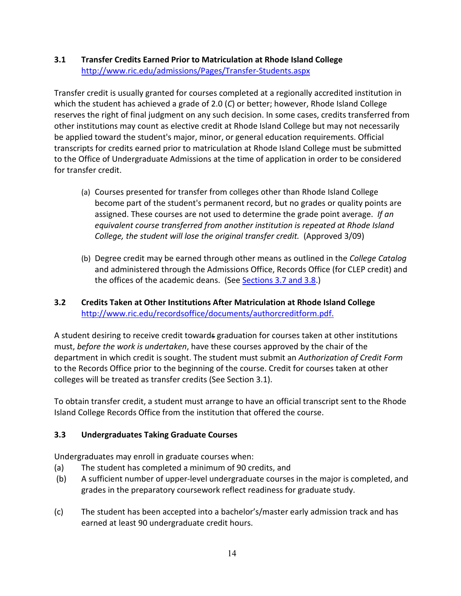## **3.1 Transfer Credits Earned Prior to Matriculation at Rhode Island College** <http://www.ric.edu/admissions/Pages/Transfer-Students.aspx>

Transfer credit is usually granted for courses completed at a regionally accredited institution in which the student has achieved a grade of 2.0 (*C*) or better; however, Rhode Island College reserves the right of final judgment on any such decision. In some cases, credits transferred from other institutions may count as elective credit at Rhode Island College but may not necessarily be applied toward the student's major, minor, or general education requirements. Official transcripts for credits earned prior to matriculation at Rhode Island College must be submitted to the Office of Undergraduate Admissions at the time of application in order to be considered for transfer credit.

- (a) Courses presented for transfer from colleges other than Rhode Island College become part of the student's permanent record, but no grades or quality points are assigned. These courses are not used to determine the grade point average. *If an equivalent course transferred from another institution is repeated at Rhode Island College, the student will lose the original transfer credit.* (Approved 3/09)
- (b) Degree credit may be earned through other means as outlined in the *College Catalog*  and administered through the Admissions Office, Records Office (for CLEP credit) and the offices of the academic deans. (See Sections 3.7 and 3.8.)

## **3.2 Credits Taken at Other Institutions After Matriculation at Rhode Island College** <http://www.ric.edu/recordsoffice/documents/authorcreditform.pdf.>

A student desiring to receive credit towards graduation for courses taken at other institutions must, *before the work is undertaken*, have these courses approved by the chair of the department in which credit is sought. The student must submit an *Authorization of Credit Form*  to the Records Office prior to the beginning of the course. Credit for courses taken at other colleges will be treated as transfer credits (See Section 3.1).

To obtain transfer credit, a student must arrange to have an official transcript sent to the Rhode Island College Records Office from the institution that offered the course.

## **3.3 Undergraduates Taking Graduate Courses**

Undergraduates may enroll in graduate courses when:

- (a) The student has completed a minimum of 90 credits, and
- (b) A sufficient number of upper-level undergraduate courses in the major is completed, and grades in the preparatory coursework reflect readiness for graduate study.
- (c) The student has been accepted into a bachelor's/master early admission track and has earned at least 90 undergraduate credit hours.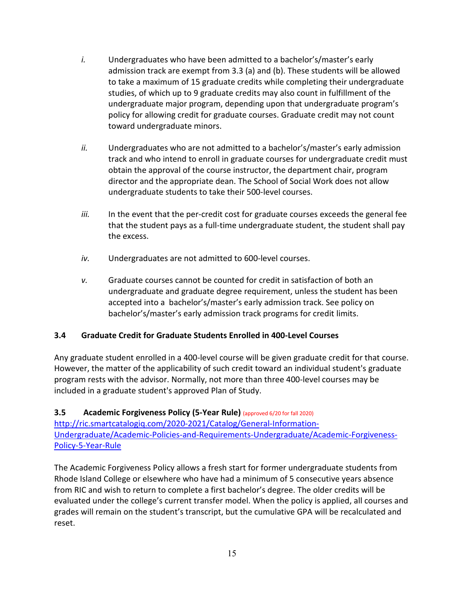- *i.* Undergraduates who have been admitted to a bachelor's/master's early admission track are exempt from 3.3 (a) and (b). These students will be allowed to take a maximum of 15 graduate credits while completing their undergraduate studies, of which up to 9 graduate credits may also count in fulfillment of the undergraduate major program, depending upon that undergraduate program's policy for allowing credit for graduate courses. Graduate credit may not count toward undergraduate minors.
- *ii.* Undergraduates who are not admitted to a bachelor's/master's early admission track and who intend to enroll in graduate courses for undergraduate credit must obtain the approval of the course instructor, the department chair, program director and the appropriate dean. The School of Social Work does not allow undergraduate students to take their 500-level courses.
- *iii.* In the event that the per-credit cost for graduate courses exceeds the general fee that the student pays as a full-time undergraduate student, the student shall pay the excess.
- *iv.* Undergraduates are not admitted to 600-level courses.
- *v.* Graduate courses cannot be counted for credit in satisfaction of both an undergraduate and graduate degree requirement, unless the student has been accepted into a bachelor's/master's early admission track. See policy on bachelor's/master's early admission track programs for credit limits.

## **3.4 Graduate Credit for Graduate Students Enrolled in 400-Level Courses**

Any graduate student enrolled in a 400-level course will be given graduate credit for that course. However, the matter of the applicability of such credit toward an individual student's graduate program rests with the advisor. Normally, not more than three 400-level courses may be included in a graduate student's approved Plan of Study.

## **3.5 Academic Forgiveness Policy (5-Year Rule)** (approved 6/20 for fall 2020)

http://ric.smartcatalogiq.com/2020-2021/Catalog/General-Information-Undergraduate/Academic-Policies-and-Requirements-Undergraduate/Academic-Forgiveness-Policy-5-Year-Rule

The Academic Forgiveness Policy allows a fresh start for former undergraduate students from Rhode Island College or elsewhere who have had a minimum of 5 consecutive years absence from RIC and wish to return to complete a first bachelor's degree. The older credits will be evaluated under the college's current transfer model. When the policy is applied, all courses and grades will remain on the student's transcript, but the cumulative GPA will be recalculated and reset.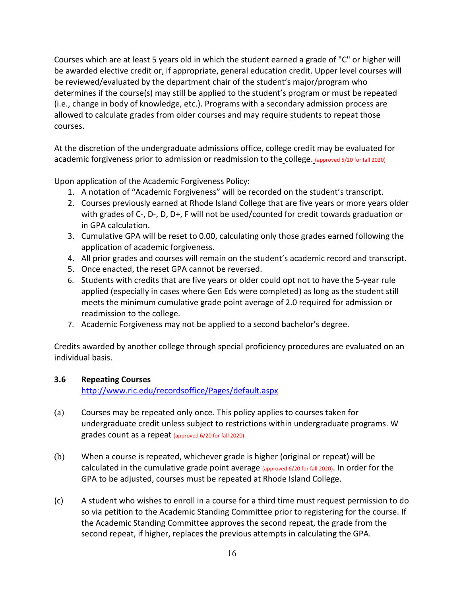Courses which are at least 5 years old in which the student earned a grade of "C" or higher will be awarded elective credit or, if appropriate, general education credit. Upper level courses will be reviewed/evaluated by the department chair of the student's major/program who determines if the course(s) may still be applied to the student's program or must be repeated (i.e., change in body of knowledge, etc.). Programs with a secondary admission process are allowed to calculate grades from older courses and may require students to repeat those courses.

At the discretion of the undergraduate admissions office, college credit may be evaluated for academic forgiveness prior to admission or readmission to the college. (approved 5/20 for fall 2020)

Upon application of the Academic Forgiveness Policy:

- 1. A notation of "Academic Forgiveness" will be recorded on the student's transcript.
- 2. Courses previously earned at Rhode Island College that are five years or more years older with grades of C-, D-, D, D+, F will not be used/counted for credit towards graduation or in GPA calculation.
- 3. Cumulative GPA will be reset to 0.00, calculating only those grades earned following the application of academic forgiveness.
- 4. All prior grades and courses will remain on the student's academic record and transcript.
- 5. Once enacted, the reset GPA cannot be reversed.
- 6. Students with credits that are five years or older could opt not to have the 5-year rule applied (especially in cases where Gen Eds were completed) as long as the student still meets the minimum cumulative grade point average of 2.0 required for admission or readmission to the college.
- 7. Academic Forgiveness may not be applied to a second bachelor's degree.

Credits awarded by another college through special proficiency procedures are evaluated on an individual basis.

## **3.6 Repeating Courses**

<http://www.ric.edu/recordsoffice/Pages/default.aspx>

- (a) Courses may be repeated only once. This policy applies to courses taken for undergraduate credit unless subject to restrictions within undergraduate programs. W grades count as a repeat (approved 6/20 for fall 2020).
- (b) When a course is repeated, whichever grade is higher (original or repeat) will be calculated in the cumulative grade point average (approved 6/20 for fall 2020). In order for the GPA to be adjusted, courses must be repeated at Rhode Island College.
- (c) A student who wishes to enroll in a course for a third time must request permission to do so via petition to the Academic Standing Committee prior to registering for the course. If the Academic Standing Committee approves the second repeat, the grade from the second repeat, if higher, replaces the previous attempts in calculating the GPA.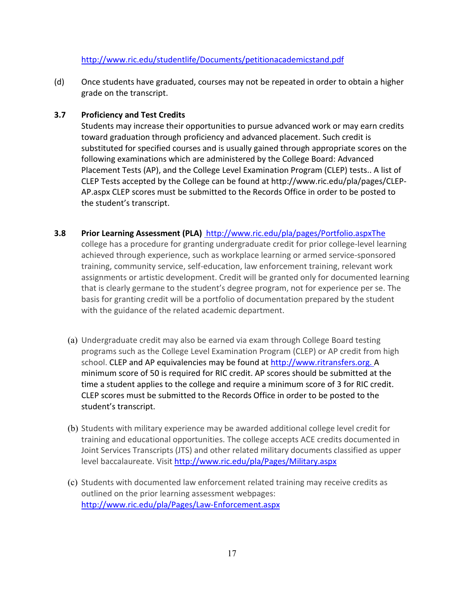## <http://www.ric.edu/studentlife/Documents/petitionacademicstand.pdf>

(d) Once students have graduated, courses may not be repeated in order to obtain a higher grade on the transcript.

#### **3.7 Proficiency and Test Credits**

Students may increase their opportunities to pursue advanced work or may earn credits toward graduation through proficiency and advanced placement. Such credit is substituted for specified courses and is usually gained through appropriate scores on the following examinations which are administered by the College Board: Advanced Placement Tests (AP), and the College Level Examination Program (CLEP) tests.. A list of CLEP Tests accepted by the College can be found at http://www.ric.edu/pla/pages/CLEP-AP.aspx CLEP scores must be submitted to the Records Office in order to be posted to the student's transcript.

**3.8 Prior Learning Assessment (PLA)** <http://www.ric.edu/pla/pages/Portfolio.aspxThe>

college has a procedure for granting undergraduate credit for prior college-level learning achieved through experience, such as workplace learning or armed service-sponsored training, community service, self-education, law enforcement training, relevant work assignments or artistic development. Credit will be granted only for documented learning that is clearly germane to the student's degree program, not for experience per se. The basis for granting credit will be a portfolio of documentation prepared by the student with the guidance of the related academic department.

- (a) Undergraduate credit may also be earned via exam through College Board testing programs such as the College Level Examination Program (CLEP) or AP credit from high school. CLEP and AP equivalencies may be found at [http://www.ritransfers.org.](http://www.ritransfers.org/) A minimum score of 50 is required for RIC credit. AP scores should be submitted at the time a student applies to the college and require a minimum score of 3 for RIC credit. CLEP scores must be submitted to the Records Office in order to be posted to the student's transcript.
- (b) Students with military experience may be awarded additional college level credit for training and educational opportunities. The college accepts ACE credits documented in Joint Services Transcripts (JTS) and other related military documents classified as upper level baccalaureate. Visi[t http://www.ric.edu/pla/Pages/Military.aspx](http://www.ric.edu/pla/Pages/Military.aspx)
- (c) Students with documented law enforcement related training may receive credits as outlined on the prior learning assessment webpages: <http://www.ric.edu/pla/Pages/Law-Enforcement.aspx>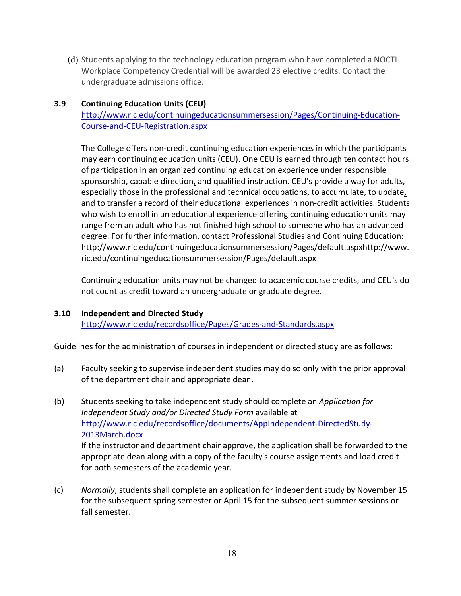(d) Students applying to the technology education program who have completed a NOCTI Workplace Competency Credential will be awarded 23 elective credits. Contact the undergraduate admissions office.

#### **3.9 Continuing Education Units (CEU)**

[http://www.ric.edu/continuingeducationsummersession/Pages/Continuing-Education-](http://www.ric.edu/continuingeducationsummersession/Pages/Continuing-Education-Course-and-CEU-Registration.aspx)[Course-and-CEU-Registration.aspx](http://www.ric.edu/continuingeducationsummersession/Pages/Continuing-Education-Course-and-CEU-Registration.aspx)

The College offers non-credit continuing education experiences in which the participants may earn continuing education units (CEU). One CEU is earned through ten contact hours of participation in an organized continuing education experience under responsible sponsorship, capable direction, and qualified instruction. CEU's provide a way for adults, especially those in the professional and technical occupations, to accumulate, to update, and to transfer a record of their educational experiences in non-credit activities. Students who wish to enroll in an educational experience offering continuing education units may range from an adult who has not finished high school to someone who has an advanced degree. For further information, contact Professional Studies and Continuing Education: http://www.ric.edu/continuingeducationsummersession/Pages/default.aspxhttp://www. ric.edu/continuingeducationsummersession/Pages/default.aspx

Continuing education units may not be changed to academic course credits, and CEU's do not count as credit toward an undergraduate or graduate degree.

#### **3.10 Independent and Directed Study**

for both semesters of the academic year.

<http://www.ric.edu/recordsoffice/Pages/Grades-and-Standards.aspx>

Guidelines for the administration of courses in independent or directed study are as follows:

- (a) Faculty seeking to supervise independent studies may do so only with the prior approval of the department chair and appropriate dean.
- (b) Students seeking to take independent study should complete an *Application for Independent Study and/or Directed Study Form* available at [http://www.ric.edu/recordsoffice/documents/AppIndependent-DirectedStudy-](http://www.ric.edu/recordsoffice/documents/AppIndependent-DirectedStudy-2013March.docx)[2013March.docx](http://www.ric.edu/recordsoffice/documents/AppIndependent-DirectedStudy-2013March.docx) If the instructor and department chair approve, the application shall be forwarded to the appropriate dean along with a copy of the faculty's course assignments and load credit

(c) *Normally*, students shall complete an application for independent study by November 15 for the subsequent spring semester or April 15 for the subsequent summer sessions or fall semester.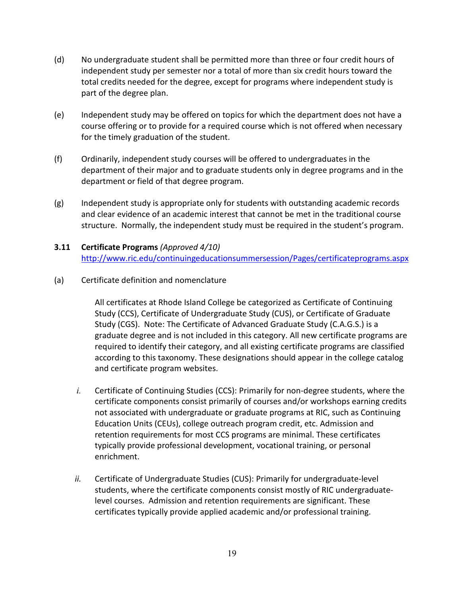- (d) No undergraduate student shall be permitted more than three or four credit hours of independent study per semester nor a total of more than six credit hours toward the total credits needed for the degree, except for programs where independent study is part of the degree plan.
- (e) Independent study may be offered on topics for which the department does not have a course offering or to provide for a required course which is not offered when necessary for the timely graduation of the student.
- (f) Ordinarily, independent study courses will be offered to undergraduates in the department of their major and to graduate students only in degree programs and in the department or field of that degree program.
- (g) Independent study is appropriate only for students with outstanding academic records and clear evidence of an academic interest that cannot be met in the traditional course structure. Normally, the independent study must be required in the student's program.
- **3.11 Certificate Programs** *(Approved 4/10)* <http://www.ric.edu/continuingeducationsummersession/Pages/certificateprograms.aspx>
- (a) Certificate definition and nomenclature

All certificates at Rhode Island College be categorized as Certificate of Continuing Study (CCS), Certificate of Undergraduate Study (CUS), or Certificate of Graduate Study (CGS). Note: The Certificate of Advanced Graduate Study (C.A.G.S.) is a graduate degree and is not included in this category. All new certificate programs are required to identify their category, and all existing certificate programs are classified according to this taxonomy. These designations should appear in the college catalog and certificate program websites.

- *i.* Certificate of Continuing Studies (CCS): Primarily for non-degree students, where the certificate components consist primarily of courses and/or workshops earning credits not associated with undergraduate or graduate programs at RIC, such as Continuing Education Units (CEUs), college outreach program credit, etc. Admission and retention requirements for most CCS programs are minimal. These certificates typically provide professional development, vocational training, or personal enrichment.
- *ii.* Certificate of Undergraduate Studies (CUS): Primarily for undergraduate-level students, where the certificate components consist mostly of RIC undergraduatelevel courses. Admission and retention requirements are significant. These certificates typically provide applied academic and/or professional training.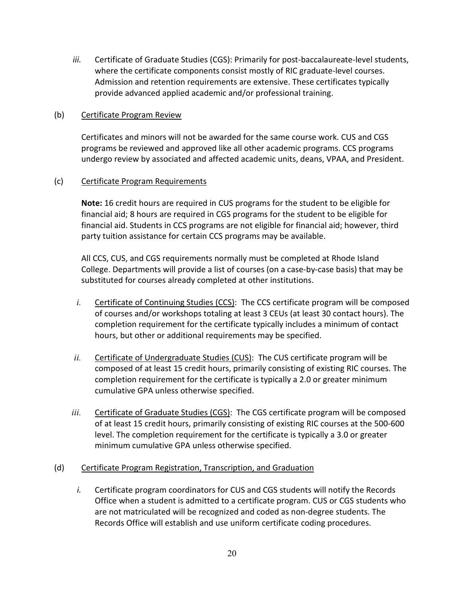*iii.* Certificate of Graduate Studies (CGS): Primarily for post-baccalaureate-level students, where the certificate components consist mostly of RIC graduate-level courses. Admission and retention requirements are extensive. These certificates typically provide advanced applied academic and/or professional training.

#### (b) Certificate Program Review

Certificates and minors will not be awarded for the same course work. CUS and CGS programs be reviewed and approved like all other academic programs. CCS programs undergo review by associated and affected academic units, deans, VPAA, and President.

#### (c) Certificate Program Requirements

**Note:** 16 credit hours are required in CUS programs for the student to be eligible for financial aid; 8 hours are required in CGS programs for the student to be eligible for financial aid. Students in CCS programs are not eligible for financial aid; however, third party tuition assistance for certain CCS programs may be available.

All CCS, CUS, and CGS requirements normally must be completed at Rhode Island College. Departments will provide a list of courses (on a case-by-case basis) that may be substituted for courses already completed at other institutions.

- *i.* Certificate of Continuing Studies (CCS):The CCS certificate program will be composed of courses and/or workshops totaling at least 3 CEUs (at least 30 contact hours). The completion requirement for the certificate typically includes a minimum of contact hours, but other or additional requirements may be specified.
- *ii.* Certificate of Undergraduate Studies (CUS): The CUS certificate program will be composed of at least 15 credit hours, primarily consisting of existing RIC courses. The completion requirement for the certificate is typically a 2.0 or greater minimum cumulative GPA unless otherwise specified.
- iii. Certificate of Graduate Studies (CGS): The CGS certificate program will be composed of at least 15 credit hours, primarily consisting of existing RIC courses at the 500-600 level. The completion requirement for the certificate is typically a 3.0 or greater minimum cumulative GPA unless otherwise specified.

#### (d) Certificate Program Registration, Transcription, and Graduation

*i.* Certificate program coordinators for CUS and CGS students will notify the Records Office when a student is admitted to a certificate program. CUS or CGS students who are not matriculated will be recognized and coded as non-degree students. The Records Office will establish and use uniform certificate coding procedures.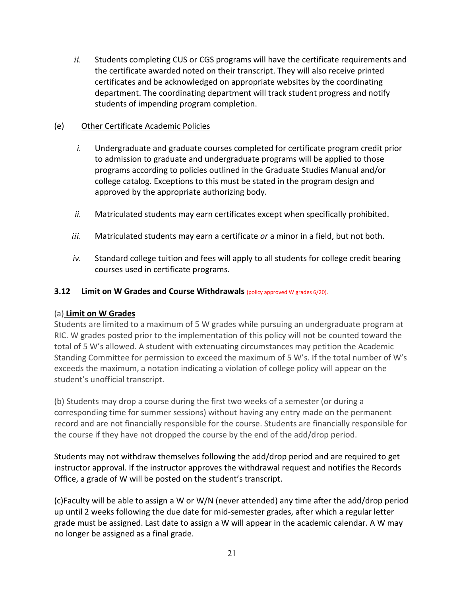*ii.* Students completing CUS or CGS programs will have the certificate requirements and the certificate awarded noted on their transcript. They will also receive printed certificates and be acknowledged on appropriate websites by the coordinating department. The coordinating department will track student progress and notify students of impending program completion.

## (e) Other Certificate Academic Policies

- *i.* Undergraduate and graduate courses completed for certificate program credit prior to admission to graduate and undergraduate programs will be applied to those programs according to policies outlined in the Graduate Studies Manual and/or college catalog. Exceptions to this must be stated in the program design and approved by the appropriate authorizing body.
- *ii.* Matriculated students may earn certificates except when specifically prohibited.
- *iii.* Matriculated students may earn a certificate *or* a minor in a field, but not both.
- *iv.* Standard college tuition and fees will apply to all students for college credit bearing courses used in certificate programs.

## **3.12 Limit on W Grades and Course Withdrawals** (policy approved W grades 6/20).

## (a) **Limit on W Grades**

Students are limited to a maximum of 5 W grades while pursuing an undergraduate program at RIC. W grades posted prior to the implementation of this policy will not be counted toward the total of 5 W's allowed. A student with extenuating circumstances may petition the Academic Standing Committee for permission to exceed the maximum of 5 W's. If the total number of W's exceeds the maximum, a notation indicating a violation of college policy will appear on the student's unofficial transcript.

(b) Students may drop a course during the first two weeks of a semester (or during a corresponding time for summer sessions) without having any entry made on the permanent record and are not financially responsible for the course. Students are financially responsible for the course if they have not dropped the course by the end of the add/drop period.

Students may not withdraw themselves following the add/drop period and are required to get instructor approval. If the instructor approves the withdrawal request and notifies the Records Office, a grade of W will be posted on the student's transcript.

(c)Faculty will be able to assign a W or W/N (never attended) any time after the add/drop period up until 2 weeks following the due date for mid-semester grades, after which a regular letter grade must be assigned. Last date to assign a W will appear in the academic calendar. A W may no longer be assigned as a final grade.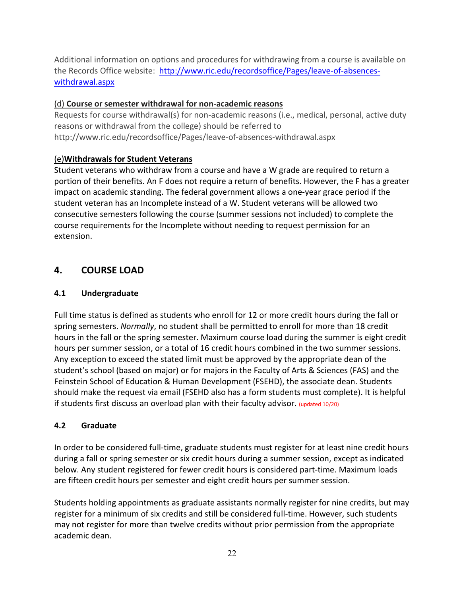Additional information on options and procedures for withdrawing from a course is available on the Records Office website: [http://www.ric.edu/recordsoffice/Pages/leave-of-absences](http://www.ric.edu/recordsoffice/Pages/leave-of-absences-withdrawal.aspx)[withdrawal.aspx](http://www.ric.edu/recordsoffice/Pages/leave-of-absences-withdrawal.aspx)

## (d) **Course or semester withdrawal for non-academic reasons**

Requests for course withdrawal(s) for non-academic reasons (i.e., medical, personal, active duty reasons or withdrawal from the college) should be referred to http://www.ric.edu/recordsoffice/Pages/leave-of-absences-withdrawal.aspx

## (e)**Withdrawals for Student Veterans**

Student veterans who withdraw from a course and have a W grade are required to return a portion of their benefits. An F does not require a return of benefits. However, the F has a greater impact on academic standing. The federal government allows a one-year grace period if the student veteran has an Incomplete instead of a W. Student veterans will be allowed two consecutive semesters following the course (summer sessions not included) to complete the course requirements for the Incomplete without needing to request permission for an extension.

# **4. COURSE LOAD**

## **4.1 Undergraduate**

Full time status is defined as students who enroll for 12 or more credit hours during the fall or spring semesters. *Normally*, no student shall be permitted to enroll for more than 18 credit hours in the fall or the spring semester. Maximum course load during the summer is eight credit hours per summer session, or a total of 16 credit hours combined in the two summer sessions. Any exception to exceed the stated limit must be approved by the appropriate dean of the student's school (based on major) or for majors in the Faculty of Arts & Sciences (FAS) and the Feinstein School of Education & Human Development (FSEHD), the associate dean. Students should make the request via email (FSEHD also has a form students must complete). It is helpful if students first discuss an overload plan with their faculty advisor. (updated 10/20)

## **4.2 Graduate**

In order to be considered full-time, graduate students must register for at least nine credit hours during a fall or spring semester or six credit hours during a summer session, except as indicated below. Any student registered for fewer credit hours is considered part-time. Maximum loads are fifteen credit hours per semester and eight credit hours per summer session.

Students holding appointments as graduate assistants normally register for nine credits, but may register for a minimum of six credits and still be considered full-time. However, such students may not register for more than twelve credits without prior permission from the appropriate academic dean.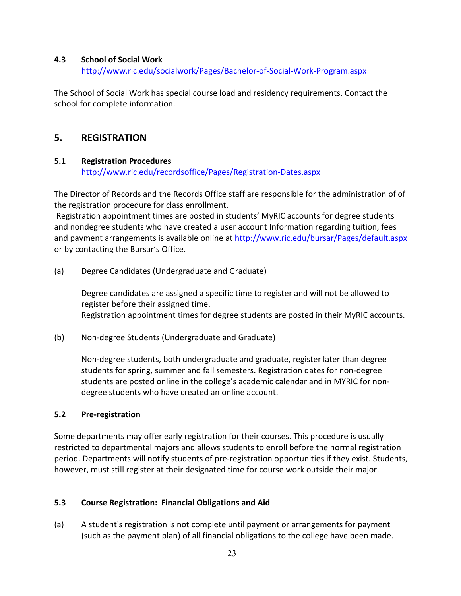#### **4.3 School of Social Work**

<http://www.ric.edu/socialwork/Pages/Bachelor-of-Social-Work-Program.aspx>

The School of Social Work has special course load and residency requirements. Contact the school for complete information.

# **5. REGISTRATION**

#### **5.1 Registration Procedures**

<http://www.ric.edu/recordsoffice/Pages/Registration-Dates.aspx>

The Director of Records and the Records Office staff are responsible for the administration of of the registration procedure for class enrollment.

Registration appointment times are posted in students' MyRIC accounts for degree students and nondegree students who have created a user account Information regarding tuition, fees and payment arrangements is available online at<http://www.ric.edu/bursar/Pages/default.aspx> or by contacting the Bursar's Office.

(a) Degree Candidates (Undergraduate and Graduate)

Degree candidates are assigned a specific time to register and will not be allowed to register before their assigned time. Registration appointment times for degree students are posted in their MyRIC accounts.

(b) Non-degree Students (Undergraduate and Graduate)

Non-degree students, both undergraduate and graduate, register later than degree students for spring, summer and fall semesters. Registration dates for non-degree students are posted online in the college's academic calendar and in MYRIC for nondegree students who have created an online account.

## **5.2 Pre-registration**

Some departments may offer early registration for their courses. This procedure is usually restricted to departmental majors and allows students to enroll before the normal registration period. Departments will notify students of pre-registration opportunities if they exist. Students, however, must still register at their designated time for course work outside their major.

## **5.3 Course Registration: Financial Obligations and Aid**

(a) A student's registration is not complete until payment or arrangements for payment (such as the payment plan) of all financial obligations to the college have been made.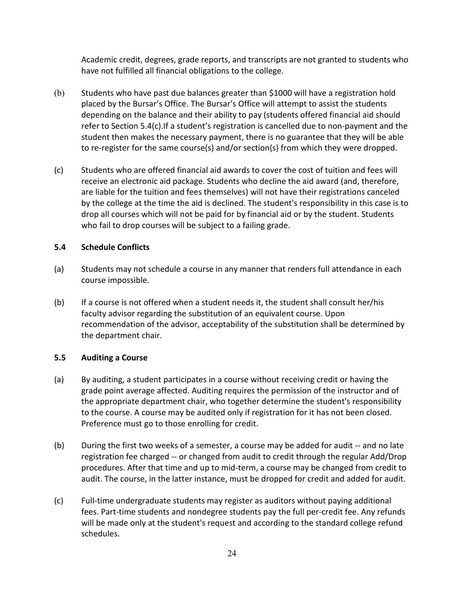Academic credit, degrees, grade reports, and transcripts are not granted to students who have not fulfilled all financial obligations to the college.

- (b) Students who have past due balances greater than \$1000 will have a registration hold placed by the Bursar's Office. The Bursar's Office will attempt to assist the students depending on the balance and their ability to pay (students offered financial aid should refer to Section 5.4(c).If a student's registration is cancelled due to non-payment and the student then makes the necessary payment, there is no guarantee that they will be able to re-register for the same course(s) and/or section(s) from which they were dropped.
- (c) Students who are offered financial aid awards to cover the cost of tuition and fees will receive an electronic aid package. Students who decline the aid award (and, therefore, are liable for the tuition and fees themselves) will not have their registrations canceled by the college at the time the aid is declined. The student's responsibility in this case is to drop all courses which will not be paid for by financial aid or by the student. Students who fail to drop courses will be subject to a failing grade.

#### **5.4 Schedule Conflicts**

- (a) Students may not schedule a course in any manner that renders full attendance in each course impossible.
- (b) If a course is not offered when a student needs it, the student shall consult her/his faculty advisor regarding the substitution of an equivalent course. Upon recommendation of the advisor, acceptability of the substitution shall be determined by the department chair.

#### **5.5 Auditing a Course**

- (a) By auditing, a student participates in a course without receiving credit or having the grade point average affected. Auditing requires the permission of the instructor and of the appropriate department chair, who together determine the student's responsibility to the course. A course may be audited only if registration for it has not been closed. Preference must go to those enrolling for credit.
- (b) During the first two weeks of a semester, a course may be added for audit -- and no late registration fee charged -- or changed from audit to credit through the regular Add/Drop procedures. After that time and up to mid-term, a course may be changed from credit to audit. The course, in the latter instance, must be dropped for credit and added for audit.
- (c) Full-time undergraduate students may register as auditors without paying additional fees. Part-time students and nondegree students pay the full per-credit fee. Any refunds will be made only at the student's request and according to the standard college refund schedules.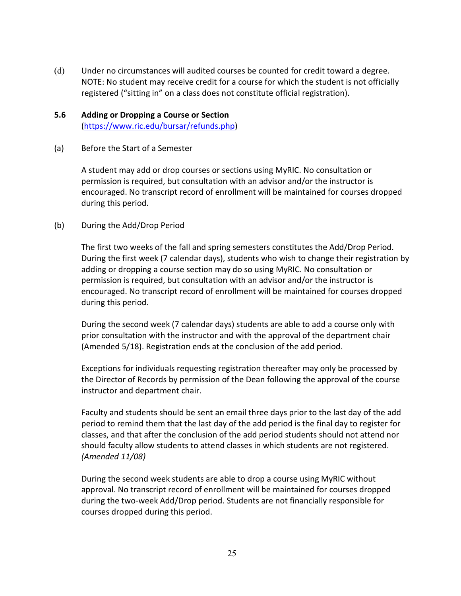(d) Under no circumstances will audited courses be counted for credit toward a degree. NOTE: No student may receive credit for a course for which the student is not officially registered ("sitting in" on a class does not constitute official registration).

#### **5.6 Adding or Dropping a Course or Section** [\(https://www.ric.edu/bursar/refunds.php\)](https://www.ric.edu/bursar/refunds.php)

(a) Before the Start of a Semester

A student may add or drop courses or sections using MyRIC. No consultation or permission is required, but consultation with an advisor and/or the instructor is encouraged. No transcript record of enrollment will be maintained for courses dropped during this period.

#### (b) During the Add/Drop Period

The first two weeks of the fall and spring semesters constitutes the Add/Drop Period. During the first week (7 calendar days), students who wish to change their registration by adding or dropping a course section may do so using MyRIC. No consultation or permission is required, but consultation with an advisor and/or the instructor is encouraged. No transcript record of enrollment will be maintained for courses dropped during this period.

During the second week (7 calendar days) students are able to add a course only with prior consultation with the instructor and with the approval of the department chair (Amended 5/18). Registration ends at the conclusion of the add period.

Exceptions for individuals requesting registration thereafter may only be processed by the Director of Records by permission of the Dean following the approval of the course instructor and department chair.

Faculty and students should be sent an email three days prior to the last day of the add period to remind them that the last day of the add period is the final day to register for classes, and that after the conclusion of the add period students should not attend nor should faculty allow students to attend classes in which students are not registered. *(Amended 11/08)*

During the second week students are able to drop a course using MyRIC without approval. No transcript record of enrollment will be maintained for courses dropped during the two-week Add/Drop period. Students are not financially responsible for courses dropped during this period.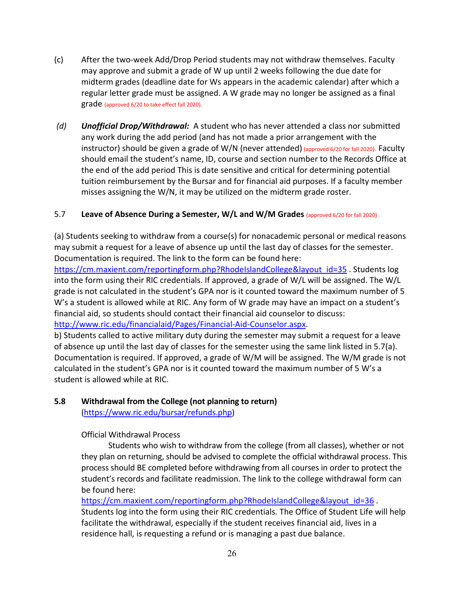- (c) After the two-week Add/Drop Period students may not withdraw themselves. Faculty may approve and submit a grade of W up until 2 weeks following the due date for midterm grades (deadline date for Ws appears in the academic calendar) after which a regular letter grade must be assigned. A W grade may no longer be assigned as a final grade (approved 6/20 to take effect fall 2020).
- *(d) Unofficial Drop/Withdrawal:* A student who has never attended a class nor submitted any work during the add period (and has not made a prior arrangement with the instructor) should be given a grade of W/N (never attended) (approved 6/20 for fall 2020). Faculty should email the student's name, ID, course and section number to the Records Office at the end of the add period This is date sensitive and critical for determining potential tuition reimbursement by the Bursar and for financial aid purposes. If a faculty member misses assigning the W/N, it may be utilized on the midterm grade roster.

#### 5.7 **Leave of Absence During a Semester, W/L and W/M Grades** (approved 6/20 for fall 2020)

(a) Students seeking to withdraw from a course(s) for nonacademic personal or medical reasons may submit a request for a leave of absence up until the last day of classes for the semester. Documentation is required. The link to the form can be found here:

[https://cm.maxient.com/reportingform.php?RhodeIslandCollege&layout\\_id=35](https://cm.maxient.com/reportingform.php?RhodeIslandCollege&layout_id=35) **.** Students log into the form using their RIC credentials. If approved, a grade of W/L will be assigned. The W/L grade is not calculated in the student's GPA nor is it counted toward the maximum number of 5 W's a student is allowed while at RIC. Any form of W grade may have an impact on a student's financial aid, so students should contact their financial aid counselor to discuss: [http://www.ric.edu/financialaid/Pages/Financial-Aid-Counselor.aspx.](http://www.ric.edu/financialaid/Pages/Financial-Aid-Counselor.aspx)

b) Students called to active military duty during the semester may submit a request for a leave of absence up until the last day of classes for the semester using the same link listed in 5.7(a). Documentation is required. If approved, a grade of W/M will be assigned. The W/M grade is not calculated in the student's GPA nor is it counted toward the maximum number of 5 W's a student is allowed while at RIC.

# **5.8 Withdrawal from the College (not planning to return)**

[\(https://www.ric.edu/bursar/refunds.php\)](https://www.ric.edu/bursar/refunds.php)

Official Withdrawal Process

Students who wish to withdraw from the college (from all classes), whether or not they plan on returning, should be advised to complete the official withdrawal process. This process should BE completed before withdrawing from all courses in order to protect the student's records and facilitate readmission. The link to the college withdrawal form can be found here:

[https://cm.maxient.com/reportingform.php?RhodeIslandCollege&layout\\_id=36](https://cm.maxient.com/reportingform.php?RhodeIslandCollege&layout_id=36). Students log into the form using their RIC credentials. The Office of Student Life will help facilitate the withdrawal, especially if the student receives financial aid, lives in a residence hall, is requesting a refund or is managing a past due balance.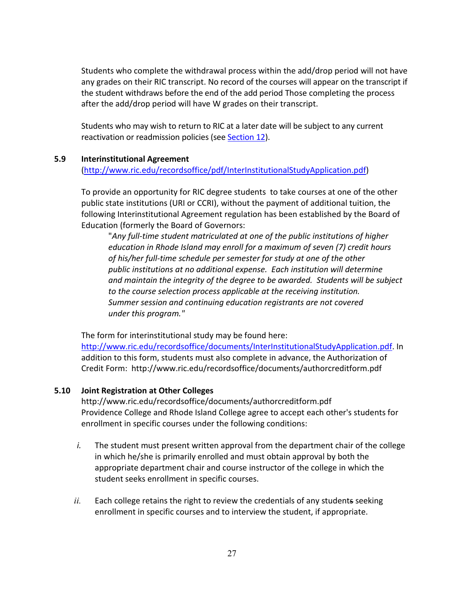Students who complete the withdrawal process within the add/drop period will not have any grades on their RIC transcript. No record of the courses will appear on the transcript if the student withdraws before the end of the add period Those completing the process after the add/drop period will have W grades on their transcript.

Students who may wish to return to RIC at a later date will be subject to any current reactivation or readmission policies (see Section 12).

#### **5.9 Interinstitutional Agreement**

[\(http://www.ric.edu/recordsoffice/pdf/InterInstitutionalStudyApplication.pdf\)](http://www.ric.edu/recordsoffice/pdf/InterInstitutionalStudyApplication.pdf)

To provide an opportunity for RIC degree students to take courses at one of the other public state institutions (URI or CCRI), without the payment of additional tuition, the following Interinstitutional Agreement regulation has been established by the Board of Education (formerly the Board of Governors:

"*Any full-time student matriculated at one of the public institutions of higher education in Rhode Island may enroll for a maximum of seven (7) credit hours of his/her full-time schedule per semester for study at one of the other public institutions at no additional expense. Each institution will determine and maintain the integrity of the degree to be awarded. Students will be subject to the course selection process applicable at the receiving institution. Summer session and continuing education registrants are not covered under this program."*

The form for interinstitutional study may be found here: [http://www.ric.edu/recordsoffice/documents/InterInstitutionalStudyApplication.pdf.](http://www.ric.edu/recordsoffice/documents/InterInstitutionalStudyApplication.pdf) In addition to this form, students must also complete in advance, the Authorization of Credit Form: http://www.ric.edu/recordsoffice/documents/authorcreditform.pdf

#### **5.10 Joint Registration at Other Colleges**

http://www.ric.edu/recordsoffice/documents/authorcreditform.pdf Providence College and Rhode Island College agree to accept each other's students for enrollment in specific courses under the following conditions:

- *i.* The student must present written approval from the department chair of the college in which he/she is primarily enrolled and must obtain approval by both the appropriate department chair and course instructor of the college in which the student seeks enrollment in specific courses.
- ii. Each college retains the right to review the credentials of any students seeking enrollment in specific courses and to interview the student, if appropriate.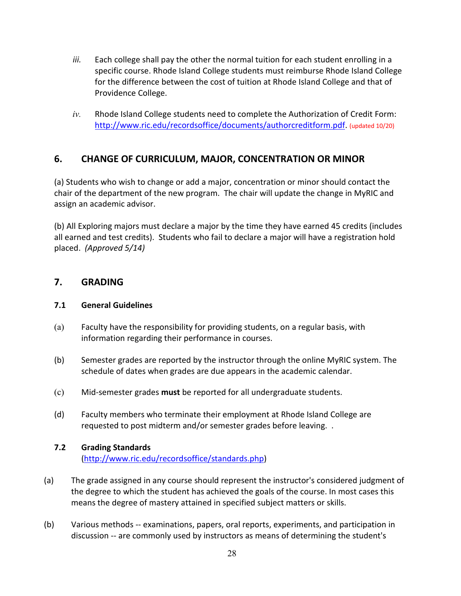- *iii.* Each college shall pay the other the normal tuition for each student enrolling in a specific course. Rhode Island College students must reimburse Rhode Island College for the difference between the cost of tuition at Rhode Island College and that of Providence College.
- *iv.* Rhode Island College students need to complete the Authorization of Credit Form: [http://www.ric.edu/recordsoffice/documents/authorcreditform.pdf.](http://www.ric.edu/recordsoffice/documents/authorcreditform.pdf) (updated 10/20)

# **6. CHANGE OF CURRICULUM, MAJOR, CONCENTRATION OR MINOR**

(a) Students who wish to change or add a major, concentration or minor should contact the chair of the department of the new program. The chair will update the change in MyRIC and assign an academic advisor.

(b) All Exploring majors must declare a major by the time they have earned 45 credits (includes all earned and test credits). Students who fail to declare a major will have a registration hold placed. *(Approved 5/14)*

## **7. GRADING**

## **7.1 General Guidelines**

- (a) Faculty have the responsibility for providing students, on a regular basis, with information regarding their performance in courses.
- (b) Semester grades are reported by the instructor through the online MyRIC system. The schedule of dates when grades are due appears in the academic calendar.
- (c) Mid-semester grades **must** be reported for all undergraduate students.
- (d) Faculty members who terminate their employment at Rhode Island College are requested to post midterm and/or semester grades before leaving. .

## **7.2 Grading Standards**  [\(http://www.ric.edu/recordsoffice/standards.php\)](http://www.ric.edu/recordsoffice/standards.php)

- (a) The grade assigned in any course should represent the instructor's considered judgment of the degree to which the student has achieved the goals of the course. In most cases this means the degree of mastery attained in specified subject matters or skills.
- (b) Various methods -- examinations, papers, oral reports, experiments, and participation in discussion -- are commonly used by instructors as means of determining the student's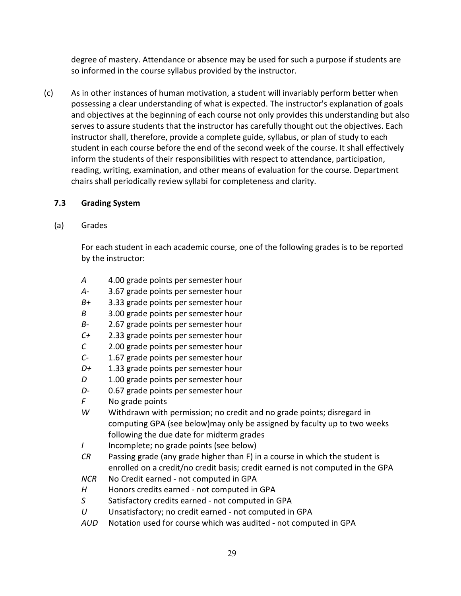degree of mastery. Attendance or absence may be used for such a purpose if students are so informed in the course syllabus provided by the instructor.

(c) As in other instances of human motivation, a student will invariably perform better when possessing a clear understanding of what is expected. The instructor's explanation of goals and objectives at the beginning of each course not only provides this understanding but also serves to assure students that the instructor has carefully thought out the objectives. Each instructor shall, therefore, provide a complete guide, syllabus, or plan of study to each student in each course before the end of the second week of the course. It shall effectively inform the students of their responsibilities with respect to attendance, participation, reading, writing, examination, and other means of evaluation for the course. Department chairs shall periodically review syllabi for completeness and clarity.

## **7.3 Grading System**

(a) Grades

For each student in each academic course, one of the following grades is to be reported by the instructor:

- *A* 4.00 grade points per semester hour
- *A-* 3.67 grade points per semester hour
- *B+* 3.33 grade points per semester hour
- *B* 3.00 grade points per semester hour
- *B-* 2.67 grade points per semester hour
- *C+* 2.33 grade points per semester hour
- *C* 2.00 grade points per semester hour
- *C-* 1.67 grade points per semester hour
- *D+* 1.33 grade points per semester hour
- *D* 1.00 grade points per semester hour
- *D-* 0.67 grade points per semester hour
- *F* No grade points
- *W* Withdrawn with permission; no credit and no grade points; disregard in computing GPA (see below)may only be assigned by faculty up to two weeks following the due date for midterm grades
- *I* Incomplete; no grade points (see below)
- *CR* Passing grade (any grade higher than F) in a course in which the student is enrolled on a credit/no credit basis; credit earned is not computed in the GPA
- *NCR* No Credit earned not computed in GPA
- *H* Honors credits earned not computed in GPA
- *S* Satisfactory credits earned not computed in GPA
- *U* Unsatisfactory; no credit earned not computed in GPA
- *AUD* Notation used for course which was audited not computed in GPA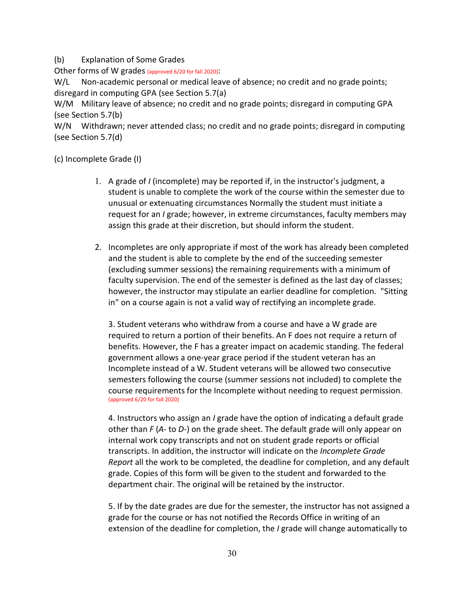#### (b) Explanation of Some Grades

Other forms of W grades (approved 6/20 for fall 2020):

W/L Non-academic personal or medical leave of absence; no credit and no grade points; disregard in computing GPA (see Section 5.7(a)

W/M Military leave of absence; no credit and no grade points; disregard in computing GPA (see Section 5.7(b)

W/N Withdrawn; never attended class; no credit and no grade points; disregard in computing (see Section 5.7(d)

(c) Incomplete Grade (I)

- 1. A grade of *I* (incomplete) may be reported if, in the instructor's judgment, a student is unable to complete the work of the course within the semester due to unusual or extenuating circumstances Normally the student must initiate a request for an *I* grade; however, in extreme circumstances, faculty members may assign this grade at their discretion, but should inform the student.
- 2. Incompletes are only appropriate if most of the work has already been completed and the student is able to complete by the end of the succeeding semester (excluding summer sessions) the remaining requirements with a minimum of faculty supervision. The end of the semester is defined as the last day of classes; however, the instructor may stipulate an earlier deadline for completion. "Sitting in" on a course again is not a valid way of rectifying an incomplete grade.

3. Student veterans who withdraw from a course and have a W grade are required to return a portion of their benefits. An F does not require a return of benefits. However, the F has a greater impact on academic standing. The federal government allows a one-year grace period if the student veteran has an Incomplete instead of a W. Student veterans will be allowed two consecutive semesters following the course (summer sessions not included) to complete the course requirements for the Incomplete without needing to request permission. (approved 6/20 for fall 2020)

4. Instructors who assign an *I* grade have the option of indicating a default grade other than *F* (*A-* to *D-*) on the grade sheet. The default grade will only appear on internal work copy transcripts and not on student grade reports or official transcripts. In addition, the instructor will indicate on the *Incomplete Grade Report* all the work to be completed, the deadline for completion, and any default grade. Copies of this form will be given to the student and forwarded to the department chair. The original will be retained by the instructor.

5. If by the date grades are due for the semester, the instructor has not assigned a grade for the course or has not notified the Records Office in writing of an extension of the deadline for completion, the *I* grade will change automatically to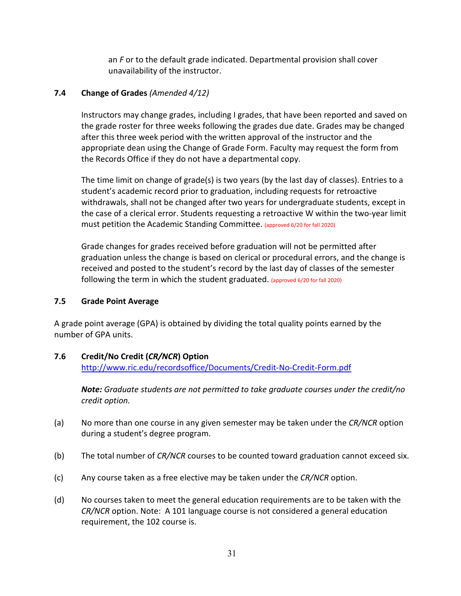an *F* or to the default grade indicated. Departmental provision shall cover unavailability of the instructor.

## **7.4 Change of Grades** *(Amended 4/12)*

Instructors may change grades, including I grades, that have been reported and saved on the grade roster for three weeks following the grades due date. Grades may be changed after this three week period with the written approval of the instructor and the appropriate dean using the Change of Grade Form. Faculty may request the form from the Records Office if they do not have a departmental copy.

The time limit on change of grade(s) is two years (by the last day of classes). Entries to a student's academic record prior to graduation, including requests for retroactive withdrawals, shall not be changed after two years for undergraduate students, except in the case of a clerical error. Students requesting a retroactive W within the two-year limit must petition the Academic Standing Committee. (approved 6/20 for fall 2020)

Grade changes for grades received before graduation will not be permitted after graduation unless the change is based on clerical or procedural errors, and the change is received and posted to the student's record by the last day of classes of the semester following the term in which the student graduated. (approved 6/20 for fall 2020)

## **7.5 Grade Point Average**

A grade point average (GPA) is obtained by dividing the total quality points earned by the number of GPA units.

## **7.6 Credit/No Credit (***CR/NCR***) Option**

<http://www.ric.edu/recordsoffice/Documents/Credit-No-Credit-Form.pdf>

*Note: Graduate students are not permitted to take graduate courses under the credit/no credit option.*

- (a) No more than one course in any given semester may be taken under the *CR/NCR* option during a student's degree program.
- (b) The total number of *CR/NCR* courses to be counted toward graduation cannot exceed six.
- (c) Any course taken as a free elective may be taken under the *CR/NCR* option.
- (d) No courses taken to meet the general education requirements are to be taken with the *CR/NCR* option. Note: A 101 language course is not considered a general education requirement, the 102 course is.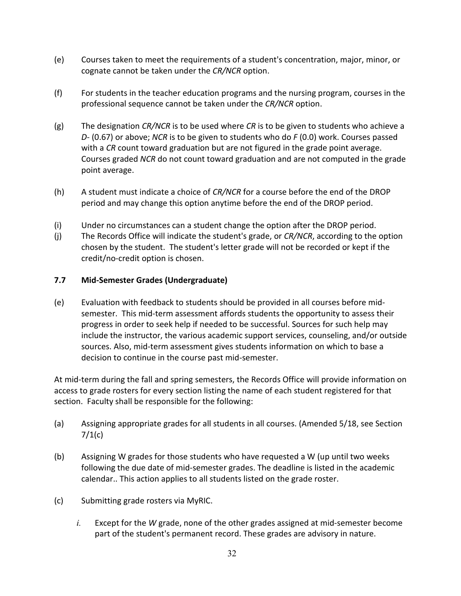- (e) Courses taken to meet the requirements of a student's concentration, major, minor, or cognate cannot be taken under the *CR/NCR* option.
- (f) For students in the teacher education programs and the nursing program, courses in the professional sequence cannot be taken under the *CR/NCR* option.
- (g) The designation *CR/NCR* is to be used where *CR* is to be given to students who achieve a *D-* (0.67) or above; *NCR* is to be given to students who do *F* (0.0) work. Courses passed with a *CR* count toward graduation but are not figured in the grade point average. Courses graded *NCR* do not count toward graduation and are not computed in the grade point average.
- (h) A student must indicate a choice of *CR/NCR* for a course before the end of the DROP period and may change this option anytime before the end of the DROP period.
- (i) Under no circumstances can a student change the option after the DROP period.
- (j) The Records Office will indicate the student's grade, or *CR/NCR*, according to the option chosen by the student. The student's letter grade will not be recorded or kept if the credit/no-credit option is chosen.

## **7.7 Mid-Semester Grades (Undergraduate)**

(e) Evaluation with feedback to students should be provided in all courses before midsemester. This mid-term assessment affords students the opportunity to assess their progress in order to seek help if needed to be successful. Sources for such help may include the instructor, the various academic support services, counseling, and/or outside sources. Also, mid-term assessment gives students information on which to base a decision to continue in the course past mid-semester.

At mid-term during the fall and spring semesters, the Records Office will provide information on access to grade rosters for every section listing the name of each student registered for that section. Faculty shall be responsible for the following:

- (a) Assigning appropriate grades for all students in all courses. (Amended 5/18, see Section  $7/1(c)$
- (b) Assigning W grades for those students who have requested a W (up until two weeks following the due date of mid-semester grades. The deadline is listed in the academic calendar.. This action applies to all students listed on the grade roster.
- (c) Submitting grade rosters via MyRIC.
	- *i.* Except for the *W* grade, none of the other grades assigned at mid-semester become part of the student's permanent record. These grades are advisory in nature.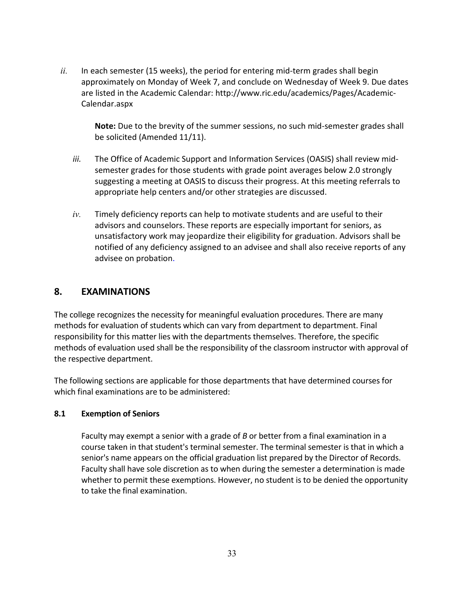*ii.* In each semester (15 weeks), the period for entering mid-term grades shall begin approximately on Monday of Week 7, and conclude on Wednesday of Week 9. Due dates are listed in the Academic Calendar: http://www.ric.edu/academics/Pages/Academic-Calendar.aspx

**Note:** Due to the brevity of the summer sessions, no such mid-semester grades shall be solicited (Amended 11/11).

- *iii.* The Office of Academic Support and Information Services (OASIS) shall review midsemester grades for those students with grade point averages below 2.0 strongly suggesting a meeting at OASIS to discuss their progress. At this meeting referrals to appropriate help centers and/or other strategies are discussed.
- *iv.* Timely deficiency reports can help to motivate students and are useful to their advisors and counselors. These reports are especially important for seniors, as unsatisfactory work may jeopardize their eligibility for graduation. Advisors shall be notified of any deficiency assigned to an advisee and shall also receive reports of any advisee on probation.

# **8. EXAMINATIONS**

The college recognizes the necessity for meaningful evaluation procedures. There are many methods for evaluation of students which can vary from department to department. Final responsibility for this matter lies with the departments themselves. Therefore, the specific methods of evaluation used shall be the responsibility of the classroom instructor with approval of the respective department.

The following sections are applicable for those departments that have determined courses for which final examinations are to be administered:

## **8.1 Exemption of Seniors**

Faculty may exempt a senior with a grade of *B* or better from a final examination in a course taken in that student's terminal semester. The terminal semester is that in which a senior's name appears on the official graduation list prepared by the Director of Records. Faculty shall have sole discretion as to when during the semester a determination is made whether to permit these exemptions. However, no student is to be denied the opportunity to take the final examination.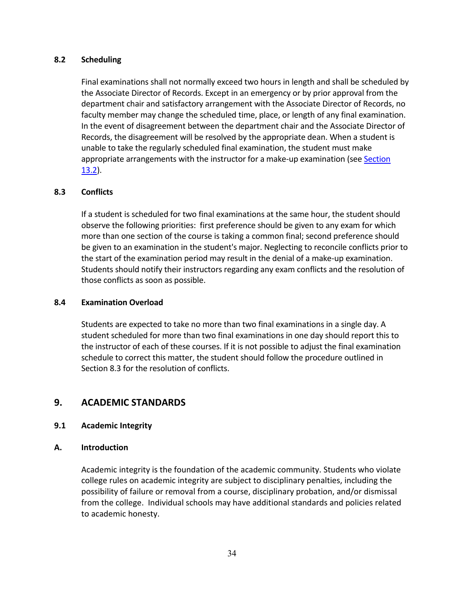#### **8.2 Scheduling**

Final examinations shall not normally exceed two hours in length and shall be scheduled by the Associate Director of Records. Except in an emergency or by prior approval from the department chair and satisfactory arrangement with the Associate Director of Records, no faculty member may change the scheduled time, place, or length of any final examination. In the event of disagreement between the department chair and the Associate Director of Records, the disagreement will be resolved by the appropriate dean. When a student is unable to take the regularly scheduled final examination, the student must make appropriate arrangements with the instructor for a make-up examination (see Section 13.2).

#### **8.3 Conflicts**

If a student is scheduled for two final examinations at the same hour, the student should observe the following priorities: first preference should be given to any exam for which more than one section of the course is taking a common final; second preference should be given to an examination in the student's major. Neglecting to reconcile conflicts prior to the start of the examination period may result in the denial of a make-up examination. Students should notify their instructors regarding any exam conflicts and the resolution of those conflicts as soon as possible.

#### **8.4 Examination Overload**

Students are expected to take no more than two final examinations in a single day. A student scheduled for more than two final examinations in one day should report this to the instructor of each of these courses. If it is not possible to adjust the final examination schedule to correct this matter, the student should follow the procedure outlined in Section 8.3 for the resolution of conflicts.

## **9. ACADEMIC STANDARDS**

## **9.1 Academic Integrity**

#### **A. Introduction**

Academic integrity is the foundation of the academic community. Students who violate college rules on academic integrity are subject to disciplinary penalties, including the possibility of failure or removal from a course, disciplinary probation, and/or dismissal from the college. Individual schools may have additional standards and policies related to academic honesty.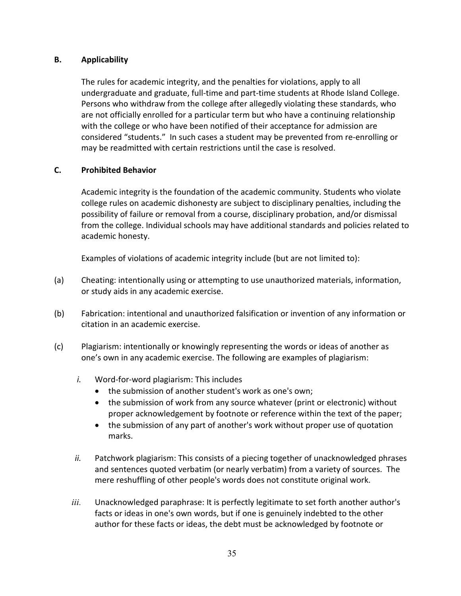## **B. Applicability**

The rules for academic integrity, and the penalties for violations, apply to all undergraduate and graduate, full-time and part-time students at Rhode Island College. Persons who withdraw from the college after allegedly violating these standards, who are not officially enrolled for a particular term but who have a continuing relationship with the college or who have been notified of their acceptance for admission are considered "students." In such cases a student may be prevented from re-enrolling or may be readmitted with certain restrictions until the case is resolved.

#### **C. Prohibited Behavior**

Academic integrity is the foundation of the academic community. Students who violate college rules on academic dishonesty are subject to disciplinary penalties, including the possibility of failure or removal from a course, disciplinary probation, and/or dismissal from the college. Individual schools may have additional standards and policies related to academic honesty.

Examples of violations of academic integrity include (but are not limited to):

- (a) Cheating: intentionally using or attempting to use unauthorized materials, information, or study aids in any academic exercise.
- (b) Fabrication: intentional and unauthorized falsification or invention of any information or citation in an academic exercise.
- (c) Plagiarism: intentionally or knowingly representing the words or ideas of another as one's own in any academic exercise. The following are examples of plagiarism:
	- *i.* Word-for-word plagiarism: This includes
		- the submission of another student's work as one's own;
		- the submission of work from any source whatever (print or electronic) without proper acknowledgement by footnote or reference within the text of the paper;
		- the submission of any part of another's work without proper use of quotation marks.
	- *ii.* Patchwork plagiarism: This consists of a piecing together of unacknowledged phrases and sentences quoted verbatim (or nearly verbatim) from a variety of sources. The mere reshuffling of other people's words does not constitute original work.
	- *iii.* Unacknowledged paraphrase: It is perfectly legitimate to set forth another author's facts or ideas in one's own words, but if one is genuinely indebted to the other author for these facts or ideas, the debt must be acknowledged by footnote or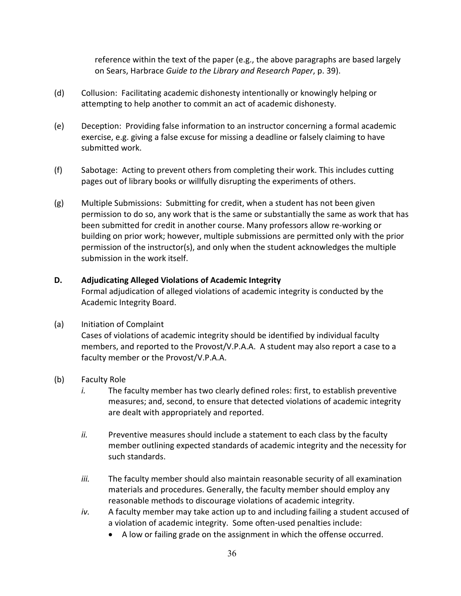reference within the text of the paper (e.g., the above paragraphs are based largely on Sears, Harbrace *Guide to the Library and Research Paper*, p. 39).

- (d) Collusion: Facilitating academic dishonesty intentionally or knowingly helping or attempting to help another to commit an act of academic dishonesty.
- (e) Deception: Providing false information to an instructor concerning a formal academic exercise, e.g. giving a false excuse for missing a deadline or falsely claiming to have submitted work.
- (f) Sabotage: Acting to prevent others from completing their work. This includes cutting pages out of library books or willfully disrupting the experiments of others.
- (g) Multiple Submissions: Submitting for credit, when a student has not been given permission to do so, any work that is the same or substantially the same as work that has been submitted for credit in another course. Many professors allow re-working or building on prior work; however, multiple submissions are permitted only with the prior permission of the instructor(s), and only when the student acknowledges the multiple submission in the work itself.

#### **D. Adjudicating Alleged Violations of Academic Integrity**

Formal adjudication of alleged violations of academic integrity is conducted by the Academic Integrity Board.

## (a) Initiation of Complaint

Cases of violations of academic integrity should be identified by individual faculty members, and reported to the Provost/V.P.A.A. A student may also report a case to a faculty member or the Provost/V.P.A.A.

## (b) Faculty Role

- *i.* The faculty member has two clearly defined roles: first, to establish preventive measures; and, second, to ensure that detected violations of academic integrity are dealt with appropriately and reported.
- *ii.* Preventive measures should include a statement to each class by the faculty member outlining expected standards of academic integrity and the necessity for such standards.
- *iii.* The faculty member should also maintain reasonable security of all examination materials and procedures. Generally, the faculty member should employ any reasonable methods to discourage violations of academic integrity.
- *iv.* A faculty member may take action up to and including failing a student accused of a violation of academic integrity. Some often-used penalties include:
	- A low or failing grade on the assignment in which the offense occurred.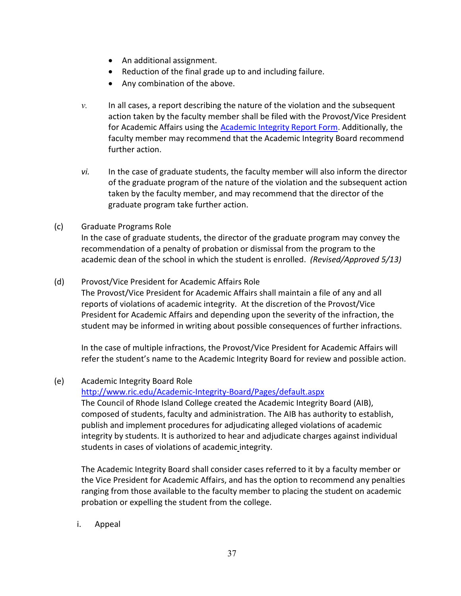- An additional assignment.
- Reduction of the final grade up to and including failure.
- Any combination of the above.
- *v.* In all cases, a report describing the nature of the violation and the subsequent action taken by the faculty member shall be filed with the Provost/Vice President for Academic Affairs using the [Academic Integrity Report Form.](https://cm.maxient.com/reportingform.php?RhodeIslandCollege&layout_id=3) Additionally, the faculty member may recommend that the Academic Integrity Board recommend further action.
- *vi.* In the case of graduate students, the faculty member will also inform the director of the graduate program of the nature of the violation and the subsequent action taken by the faculty member, and may recommend that the director of the graduate program take further action.

#### (c) Graduate Programs Role

In the case of graduate students, the director of the graduate program may convey the recommendation of a penalty of probation or dismissal from the program to the academic dean of the school in which the student is enrolled. *(Revised/Approved 5/13)*

#### (d) Provost/Vice President for Academic Affairs Role

The Provost/Vice President for Academic Affairs shall maintain a file of any and all reports of violations of academic integrity. At the discretion of the Provost/Vice President for Academic Affairs and depending upon the severity of the infraction, the student may be informed in writing about possible consequences of further infractions.

In the case of multiple infractions, the Provost/Vice President for Academic Affairs will refer the student's name to the Academic Integrity Board for review and possible action.

## (e) Academic Integrity Board Role

<http://www.ric.edu/Academic-Integrity-Board/Pages/default.aspx> The Council of Rhode Island College created the Academic Integrity Board (AIB), composed of students, faculty and administration. The AIB has authority to establish, publish and implement procedures for adjudicating alleged violations of academic integrity by students. It is authorized to hear and adjudicate charges against individual students in cases of violations of academic integrity.

The Academic Integrity Board shall consider cases referred to it by a faculty member or the Vice President for Academic Affairs, and has the option to recommend any penalties ranging from those available to the faculty member to placing the student on academic probation or expelling the student from the college.

i. Appeal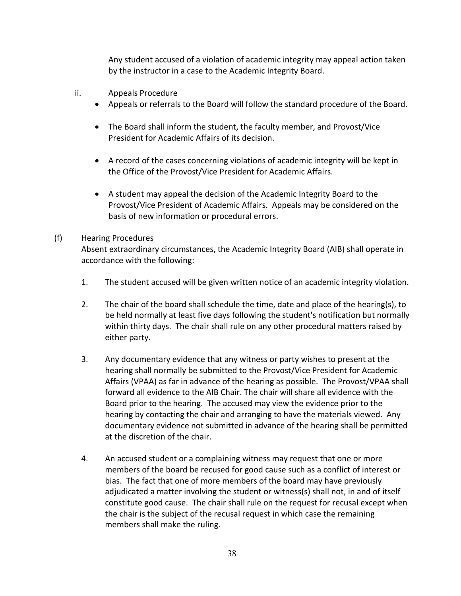Any student accused of a violation of academic integrity may appeal action taken by the instructor in a case to the Academic Integrity Board.

- ii. Appeals Procedure
	- Appeals or referrals to the Board will follow the standard procedure of the Board.
	- The Board shall inform the student, the faculty member, and Provost/Vice President for Academic Affairs of its decision.
	- A record of the cases concerning violations of academic integrity will be kept in the Office of the Provost/Vice President for Academic Affairs.
	- A student may appeal the decision of the Academic Integrity Board to the Provost/Vice President of Academic Affairs. Appeals may be considered on the basis of new information or procedural errors.

#### (f) Hearing Procedures

Absent extraordinary circumstances, the Academic Integrity Board (AIB) shall operate in accordance with the following:

- 1. The student accused will be given written notice of an academic integrity violation.
- 2. The chair of the board shall schedule the time, date and place of the hearing(s), to be held normally at least five days following the student's notification but normally within thirty days. The chair shall rule on any other procedural matters raised by either party.
- 3. Any documentary evidence that any witness or party wishes to present at the hearing shall normally be submitted to the Provost/Vice President for Academic Affairs (VPAA) as far in advance of the hearing as possible. The Provost/VPAA shall forward all evidence to the AIB Chair. The chair will share all evidence with the Board prior to the hearing. The accused may view the evidence prior to the hearing by contacting the chair and arranging to have the materials viewed. Any documentary evidence not submitted in advance of the hearing shall be permitted at the discretion of the chair.
- 4. An accused student or a complaining witness may request that one or more members of the board be recused for good cause such as a conflict of interest or bias. The fact that one of more members of the board may have previously adjudicated a matter involving the student or witness(s) shall not, in and of itself constitute good cause. The chair shall rule on the request for recusal except when the chair is the subject of the recusal request in which case the remaining members shall make the ruling.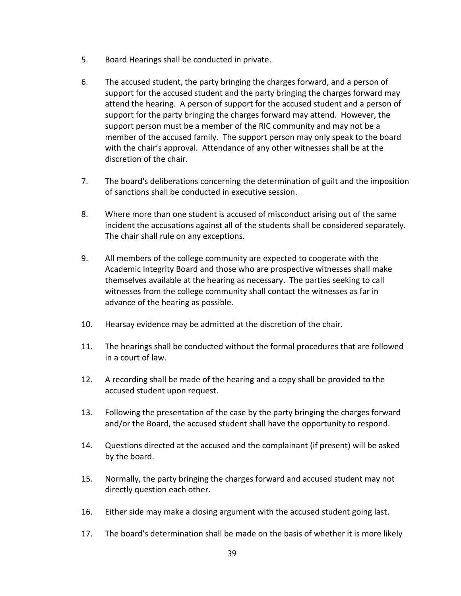- 5. Board Hearings shall be conducted in private.
- 6. The accused student, the party bringing the charges forward, and a person of support for the accused student and the party bringing the charges forward may attend the hearing. A person of support for the accused student and a person of support for the party bringing the charges forward may attend. However, the support person must be a member of the RIC community and may not be a member of the accused family. The support person may only speak to the board with the chair's approval. Attendance of any other witnesses shall be at the discretion of the chair.
- 7. The board's deliberations concerning the determination of guilt and the imposition of sanctions shall be conducted in executive session.
- 8. Where more than one student is accused of misconduct arising out of the same incident the accusations against all of the students shall be considered separately. The chair shall rule on any exceptions.
- 9. All members of the college community are expected to cooperate with the Academic Integrity Board and those who are prospective witnesses shall make themselves available at the hearing as necessary. The parties seeking to call witnesses from the college community shall contact the witnesses as far in advance of the hearing as possible.
- 10. Hearsay evidence may be admitted at the discretion of the chair.
- 11. The hearings shall be conducted without the formal procedures that are followed in a court of law.
- 12. A recording shall be made of the hearing and a copy shall be provided to the accused student upon request.
- 13. Following the presentation of the case by the party bringing the charges forward and/or the Board, the accused student shall have the opportunity to respond.
- 14. Questions directed at the accused and the complainant (if present) will be asked by the board.
- 15. Normally, the party bringing the charges forward and accused student may not directly question each other.
- 16. Either side may make a closing argument with the accused student going last.
- 17. The board's determination shall be made on the basis of whether it is more likely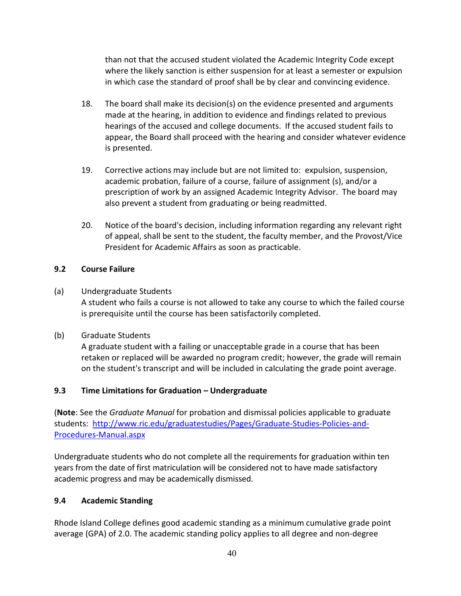than not that the accused student violated the Academic Integrity Code except where the likely sanction is either suspension for at least a semester or expulsion in which case the standard of proof shall be by clear and convincing evidence.

- 18. The board shall make its decision(s) on the evidence presented and arguments made at the hearing, in addition to evidence and findings related to previous hearings of the accused and college documents. If the accused student fails to appear, the Board shall proceed with the hearing and consider whatever evidence is presented.
- 19. Corrective actions may include but are not limited to: expulsion, suspension, academic probation, failure of a course, failure of assignment (s), and/or a prescription of work by an assigned Academic Integrity Advisor. The board may also prevent a student from graduating or being readmitted.
- 20. Notice of the board's decision, including information regarding any relevant right of appeal, shall be sent to the student, the faculty member, and the Provost/Vice President for Academic Affairs as soon as practicable.

## **9.2 Course Failure**

(a) Undergraduate Students

A student who fails a course is not allowed to take any course to which the failed course is prerequisite until the course has been satisfactorily completed.

(b) Graduate Students

A graduate student with a failing or unacceptable grade in a course that has been retaken or replaced will be awarded no program credit; however, the grade will remain on the student's transcript and will be included in calculating the grade point average.

## **9.3 Time Limitations for Graduation – Undergraduate**

(**Note**: See the *Graduate Manual* for probation and dismissal policies applicable to graduate students: [http://www.ric.edu/graduatestudies/Pages/Graduate-Studies-Policies-and-](http://www.ric.edu/graduatestudies/Pages/Graduate-Studies-Policies-and-Procedures-Manual.aspx)[Procedures-Manual.aspx](http://www.ric.edu/graduatestudies/Pages/Graduate-Studies-Policies-and-Procedures-Manual.aspx) 

Undergraduate students who do not complete all the requirements for graduation within ten years from the date of first matriculation will be considered not to have made satisfactory academic progress and may be academically dismissed.

## **9.4 Academic Standing**

Rhode Island College defines good academic standing as a minimum cumulative grade point average (GPA) of 2.0. The academic standing policy applies to all degree and non-degree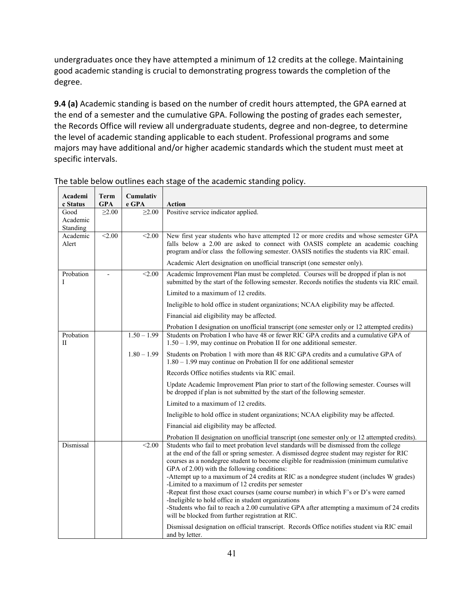undergraduates once they have attempted a minimum of 12 credits at the college. Maintaining good academic standing is crucial to demonstrating progress towards the completion of the degree.

**9.4 (a)** Academic standing is based on the number of credit hours attempted, the GPA earned at the end of a semester and the cumulative GPA. Following the posting of grades each semester, the Records Office will review all undergraduate students, degree and non-degree, to determine the level of academic standing applicable to each student. Professional programs and some majors may have additional and/or higher academic standards which the student must meet at specific intervals.

| Academi<br>c Status          | Term<br><b>GPA</b> | Cumulativ<br>e GPA | <b>Action</b>                                                                                                                                                                                                                                                                                                                                                                                                                                                                                                                                                                                                                                                                                                                                                                                                                                                                                     |
|------------------------------|--------------------|--------------------|---------------------------------------------------------------------------------------------------------------------------------------------------------------------------------------------------------------------------------------------------------------------------------------------------------------------------------------------------------------------------------------------------------------------------------------------------------------------------------------------------------------------------------------------------------------------------------------------------------------------------------------------------------------------------------------------------------------------------------------------------------------------------------------------------------------------------------------------------------------------------------------------------|
| Good<br>Academic<br>Standing | $\geq 2.00$        | $\geq 2.00$        | Positive service indicator applied.                                                                                                                                                                                                                                                                                                                                                                                                                                                                                                                                                                                                                                                                                                                                                                                                                                                               |
| Academic<br>Alert            | < 2.00             | < 2.00             | New first year students who have attempted 12 or more credits and whose semester GPA<br>falls below a 2.00 are asked to connect with OASIS complete an academic coaching<br>program and/or class the following semester. OASIS notifies the students via RIC email.<br>Academic Alert designation on unofficial transcript (one semester only).                                                                                                                                                                                                                                                                                                                                                                                                                                                                                                                                                   |
| Probation<br>I               |                    | < 2.00             | Academic Improvement Plan must be completed. Courses will be dropped if plan is not<br>submitted by the start of the following semester. Records notifies the students via RIC email.<br>Limited to a maximum of 12 credits.<br>Ineligible to hold office in student organizations; NCAA eligibility may be affected.<br>Financial aid eligibility may be affected.                                                                                                                                                                                                                                                                                                                                                                                                                                                                                                                               |
|                              |                    |                    | Probation I designation on unofficial transcript (one semester only or 12 attempted credits)                                                                                                                                                                                                                                                                                                                                                                                                                                                                                                                                                                                                                                                                                                                                                                                                      |
| Probation<br>П               |                    | $1.50 - 1.99$      | Students on Probation I who have 48 or fewer RIC GPA credits and a cumulative GPA of<br>$1.50 - 1.99$ , may continue on Probation II for one additional semester.                                                                                                                                                                                                                                                                                                                                                                                                                                                                                                                                                                                                                                                                                                                                 |
|                              |                    | $1.80 - 1.99$      | Students on Probation 1 with more than 48 RIC GPA credits and a cumulative GPA of<br>$1.80 - 1.99$ may continue on Probation II for one additional semester                                                                                                                                                                                                                                                                                                                                                                                                                                                                                                                                                                                                                                                                                                                                       |
|                              |                    |                    | Records Office notifies students via RIC email.                                                                                                                                                                                                                                                                                                                                                                                                                                                                                                                                                                                                                                                                                                                                                                                                                                                   |
|                              |                    |                    | Update Academic Improvement Plan prior to start of the following semester. Courses will<br>be dropped if plan is not submitted by the start of the following semester.                                                                                                                                                                                                                                                                                                                                                                                                                                                                                                                                                                                                                                                                                                                            |
|                              |                    |                    | Limited to a maximum of 12 credits.                                                                                                                                                                                                                                                                                                                                                                                                                                                                                                                                                                                                                                                                                                                                                                                                                                                               |
|                              |                    |                    | Ineligible to hold office in student organizations; NCAA eligibility may be affected.                                                                                                                                                                                                                                                                                                                                                                                                                                                                                                                                                                                                                                                                                                                                                                                                             |
|                              |                    |                    | Financial aid eligibility may be affected.                                                                                                                                                                                                                                                                                                                                                                                                                                                                                                                                                                                                                                                                                                                                                                                                                                                        |
|                              |                    |                    | Probation II designation on unofficial transcript (one semester only or 12 attempted credits).                                                                                                                                                                                                                                                                                                                                                                                                                                                                                                                                                                                                                                                                                                                                                                                                    |
| Dismissal                    |                    | < 2.00             | Students who fail to meet probation level standards will be dismissed from the college<br>at the end of the fall or spring semester. A dismissed degree student may register for RIC<br>courses as a nondegree student to become eligible for readmission (minimum cumulative<br>GPA of 2.00) with the following conditions:<br>-Attempt up to a maximum of 24 credits at RIC as a nondegree student (includes W grades)<br>-Limited to a maximum of 12 credits per semester<br>-Repeat first those exact courses (same course number) in which F's or D's were earned<br>-Ineligible to hold office in student organizations<br>-Students who fail to reach a 2.00 cumulative GPA after attempting a maximum of 24 credits<br>will be blocked from further registration at RIC.<br>Dismissal designation on official transcript. Records Office notifies student via RIC email<br>and by letter. |

The table below outlines each stage of the academic standing policy.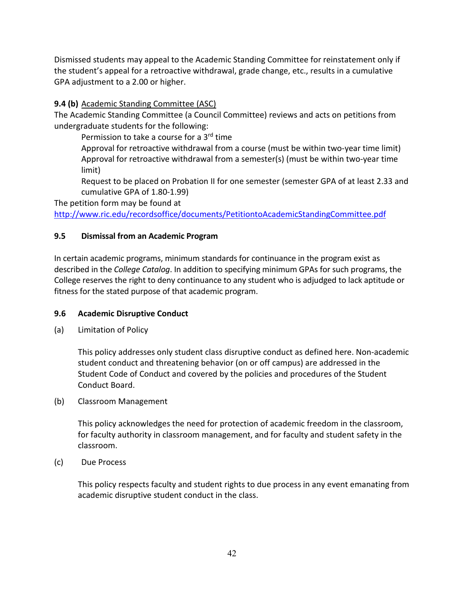Dismissed students may appeal to the Academic Standing Committee for reinstatement only if the student's appeal for a retroactive withdrawal, grade change, etc., results in a cumulative GPA adjustment to a 2.00 or higher.

## **9.4 (b)** Academic Standing Committee (ASC)

The Academic Standing Committee (a Council Committee) reviews and acts on petitions from undergraduate students for the following:

Permission to take a course for a 3<sup>rd</sup> time

Approval for retroactive withdrawal from a course (must be within two-year time limit) Approval for retroactive withdrawal from a semester(s) (must be within two-year time limit)

Request to be placed on Probation II for one semester (semester GPA of at least 2.33 and cumulative GPA of 1.80-1.99)

The petition form may be found at

<http://www.ric.edu/recordsoffice/documents/PetitiontoAcademicStandingCommittee.pdf>

## **9.5 Dismissal from an Academic Program**

In certain academic programs, minimum standards for continuance in the program exist as described in the *College Catalog*. In addition to specifying minimum GPAs for such programs, the College reserves the right to deny continuance to any student who is adjudged to lack aptitude or fitness for the stated purpose of that academic program.

## **9.6 Academic Disruptive Conduct**

(a) Limitation of Policy

This policy addresses only student class disruptive conduct as defined here. Non-academic student conduct and threatening behavior (on or off campus) are addressed in the Student Code of Conduct and covered by the policies and procedures of the Student Conduct Board.

(b) Classroom Management

This policy acknowledges the need for protection of academic freedom in the classroom, for faculty authority in classroom management, and for faculty and student safety in the classroom.

(c) Due Process

This policy respects faculty and student rights to due process in any event emanating from academic disruptive student conduct in the class.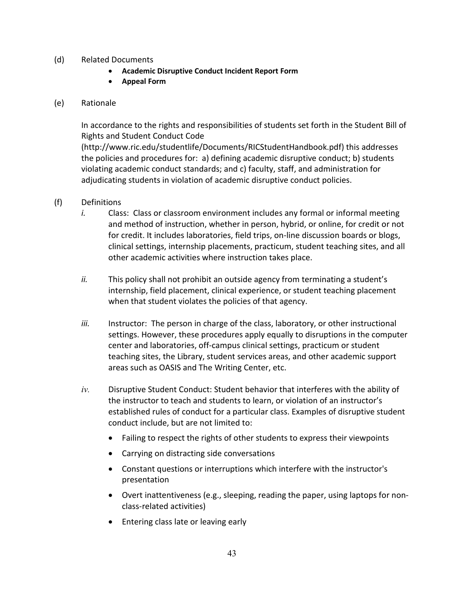- (d) Related Documents
	- **Academic Disruptive Conduct Incident Report Form**
	- **Appeal Form**

#### (e) Rationale

In accordance to the rights and responsibilities of students set forth in the Student Bill of Rights and Student Conduct Code

(http://www.ric.edu/studentlife/Documents/RICStudentHandbook.pdf) this addresses the policies and procedures for: a) defining academic disruptive conduct; b) students violating academic conduct standards; and c) faculty, staff, and administration for adjudicating students in violation of academic disruptive conduct policies.

- (f) Definitions
	- *i.* Class: Class or classroom environment includes any formal or informal meeting and method of instruction, whether in person, hybrid, or online, for credit or not for credit. It includes laboratories, field trips, on-line discussion boards or blogs, clinical settings, internship placements, practicum, student teaching sites, and all other academic activities where instruction takes place.
	- *ii.* This policy shall not prohibit an outside agency from terminating a student's internship, field placement, clinical experience, or student teaching placement when that student violates the policies of that agency.
	- *iii.* Instructor: The person in charge of the class, laboratory, or other instructional settings. However, these procedures apply equally to disruptions in the computer center and laboratories, off-campus clinical settings, practicum or student teaching sites, the Library, student services areas, and other academic support areas such as OASIS and The Writing Center, etc.
	- *iv.* Disruptive Student Conduct: Student behavior that interferes with the ability of the instructor to teach and students to learn, or violation of an instructor's established rules of conduct for a particular class. Examples of disruptive student conduct include, but are not limited to:
		- Failing to respect the rights of other students to express their viewpoints
		- Carrying on distracting side conversations
		- Constant questions or interruptions which interfere with the instructor's presentation
		- Overt inattentiveness (e.g., sleeping, reading the paper, using laptops for nonclass-related activities)
		- Entering class late or leaving early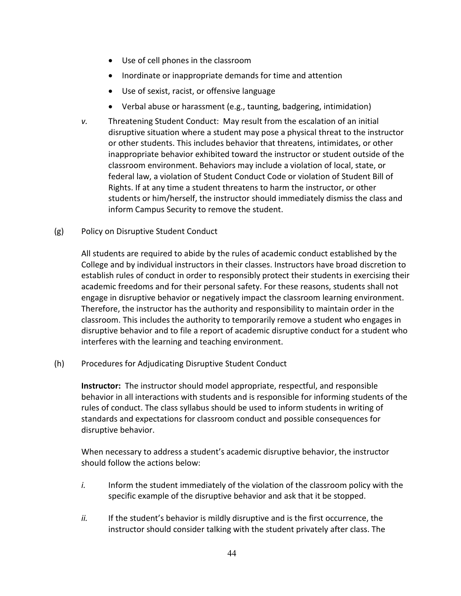- Use of cell phones in the classroom
- Inordinate or inappropriate demands for time and attention
- Use of sexist, racist, or offensive language
- Verbal abuse or harassment (e.g., taunting, badgering, intimidation)
- *v.* Threatening Student Conduct: May result from the escalation of an initial disruptive situation where a student may pose a physical threat to the instructor or other students. This includes behavior that threatens, intimidates, or other inappropriate behavior exhibited toward the instructor or student outside of the classroom environment. Behaviors may include a violation of local, state, or federal law, a violation of Student Conduct Code or violation of Student Bill of Rights. If at any time a student threatens to harm the instructor, or other students or him/herself, the instructor should immediately dismiss the class and inform Campus Security to remove the student.
- (g) Policy on Disruptive Student Conduct

All students are required to abide by the rules of academic conduct established by the College and by individual instructors in their classes. Instructors have broad discretion to establish rules of conduct in order to responsibly protect their students in exercising their academic freedoms and for their personal safety. For these reasons, students shall not engage in disruptive behavior or negatively impact the classroom learning environment. Therefore, the instructor has the authority and responsibility to maintain order in the classroom. This includes the authority to temporarily remove a student who engages in disruptive behavior and to file a report of academic disruptive conduct for a student who interferes with the learning and teaching environment.

(h) Procedures for Adjudicating Disruptive Student Conduct

**Instructor:** The instructor should model appropriate, respectful, and responsible behavior in all interactions with students and is responsible for informing students of the rules of conduct. The class syllabus should be used to inform students in writing of standards and expectations for classroom conduct and possible consequences for disruptive behavior.

When necessary to address a student's academic disruptive behavior, the instructor should follow the actions below:

- *i.* Inform the student immediately of the violation of the classroom policy with the specific example of the disruptive behavior and ask that it be stopped.
- *ii.* If the student's behavior is mildly disruptive and is the first occurrence, the instructor should consider talking with the student privately after class. The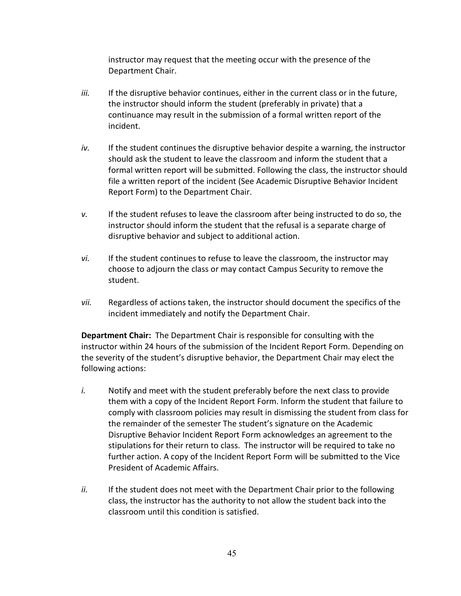instructor may request that the meeting occur with the presence of the Department Chair.

- *iii.* If the disruptive behavior continues, either in the current class or in the future, the instructor should inform the student (preferably in private) that a continuance may result in the submission of a formal written report of the incident.
- *iv.* If the student continues the disruptive behavior despite a warning, the instructor should ask the student to leave the classroom and inform the student that a formal written report will be submitted. Following the class, the instructor should file a written report of the incident (See Academic Disruptive Behavior Incident Report Form) to the Department Chair.
- *v.* If the student refuses to leave the classroom after being instructed to do so, the instructor should inform the student that the refusal is a separate charge of disruptive behavior and subject to additional action.
- *vi.* If the student continues to refuse to leave the classroom, the instructor may choose to adjourn the class or may contact Campus Security to remove the student.
- *vii.* Regardless of actions taken, the instructor should document the specifics of the incident immediately and notify the Department Chair.

**Department Chair:** The Department Chair is responsible for consulting with the instructor within 24 hours of the submission of the Incident Report Form. Depending on the severity of the student's disruptive behavior, the Department Chair may elect the following actions:

- *i.* Notify and meet with the student preferably before the next class to provide them with a copy of the Incident Report Form. Inform the student that failure to comply with classroom policies may result in dismissing the student from class for the remainder of the semester The student's signature on the Academic Disruptive Behavior Incident Report Form acknowledges an agreement to the stipulations for their return to class. The instructor will be required to take no further action. A copy of the Incident Report Form will be submitted to the Vice President of Academic Affairs.
- *ii.* If the student does not meet with the Department Chair prior to the following class, the instructor has the authority to not allow the student back into the classroom until this condition is satisfied.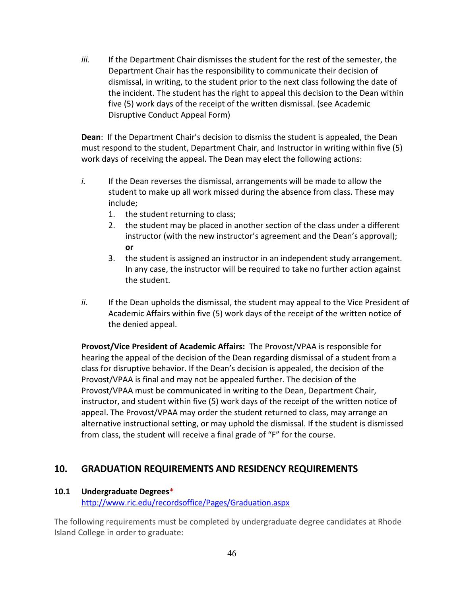*iii.* If the Department Chair dismisses the student for the rest of the semester, the Department Chair has the responsibility to communicate their decision of dismissal, in writing, to the student prior to the next class following the date of the incident. The student has the right to appeal this decision to the Dean within five (5) work days of the receipt of the written dismissal. (see Academic Disruptive Conduct Appeal Form)

**Dean**: If the Department Chair's decision to dismiss the student is appealed, the Dean must respond to the student, Department Chair, and Instructor in writing within five (5) work days of receiving the appeal. The Dean may elect the following actions:

- *i.* If the Dean reverses the dismissal, arrangements will be made to allow the student to make up all work missed during the absence from class. These may include;
	- 1. the student returning to class;
	- 2. the student may be placed in another section of the class under a different instructor (with the new instructor's agreement and the Dean's approval); **or**
	- 3. the student is assigned an instructor in an independent study arrangement. In any case, the instructor will be required to take no further action against the student.
- *ii.* If the Dean upholds the dismissal, the student may appeal to the Vice President of Academic Affairs within five (5) work days of the receipt of the written notice of the denied appeal.

**Provost/Vice President of Academic Affairs:** The Provost/VPAA is responsible for hearing the appeal of the decision of the Dean regarding dismissal of a student from a class for disruptive behavior. If the Dean's decision is appealed, the decision of the Provost/VPAA is final and may not be appealed further. The decision of the Provost/VPAA must be communicated in writing to the Dean, Department Chair, instructor, and student within five (5) work days of the receipt of the written notice of appeal. The Provost/VPAA may order the student returned to class, may arrange an alternative instructional setting, or may uphold the dismissal. If the student is dismissed from class, the student will receive a final grade of "F" for the course.

# **10. GRADUATION REQUIREMENTS AND RESIDENCY REQUIREMENTS**

#### **10.1 Undergraduate Degrees**\*

<http://www.ric.edu/recordsoffice/Pages/Graduation.aspx>

The following requirements must be completed by undergraduate degree candidates at Rhode Island College in order to graduate: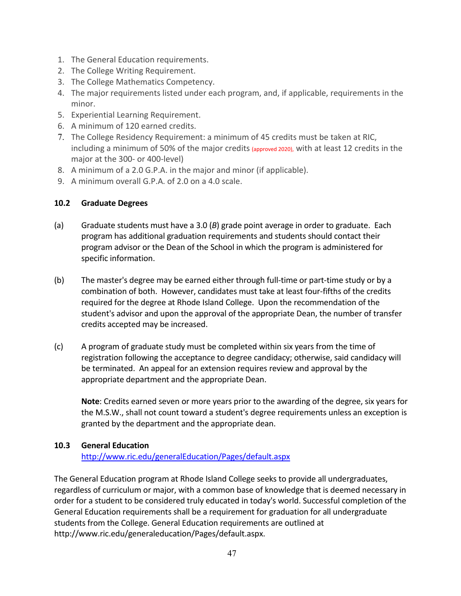- 1. The General Education requirements.
- 2. The College Writing Requirement.
- 3. The College Mathematics Competency.
- 4. The major requirements listed under each program, and, if applicable, requirements in the minor.
- 5. Experiential Learning Requirement.
- 6. A minimum of 120 earned credits.
- 7. The College Residency Requirement: a minimum of 45 credits must be taken at RIC, including a minimum of 50% of the major credits (approved 2020), with at least 12 credits in the major at the 300- or 400-level)
- 8. A minimum of a 2.0 G.P.A. in the major and minor (if applicable).
- 9. A minimum overall G.P.A. of 2.0 on a 4.0 scale.

## **10.2 Graduate Degrees**

- (a) Graduate students must have a 3.0 (*B*) grade point average in order to graduate. Each program has additional graduation requirements and students should contact their program advisor or the Dean of the School in which the program is administered for specific information.
- (b) The master's degree may be earned either through full-time or part-time study or by a combination of both. However, candidates must take at least four-fifths of the credits required for the degree at Rhode Island College. Upon the recommendation of the student's advisor and upon the approval of the appropriate Dean, the number of transfer credits accepted may be increased.
- (c) A program of graduate study must be completed within six years from the time of registration following the acceptance to degree candidacy; otherwise, said candidacy will be terminated. An appeal for an extension requires review and approval by the appropriate department and the appropriate Dean.

**Note**: Credits earned seven or more years prior to the awarding of the degree, six years for the M.S.W., shall not count toward a student's degree requirements unless an exception is granted by the department and the appropriate dean.

#### **10.3 General Education** <http://www.ric.edu/generalEducation/Pages/default.aspx>

The General Education program at Rhode Island College seeks to provide all undergraduates, regardless of curriculum or major, with a common base of knowledge that is deemed necessary in order for a student to be considered truly educated in today's world. Successful completion of the General Education requirements shall be a requirement for graduation for all undergraduate students from the College. General Education requirements are outlined at http://www.ric.edu/generaleducation/Pages/default.aspx.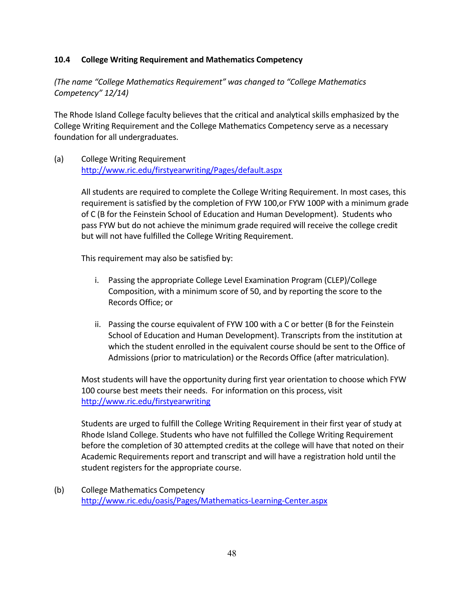## **10.4 College Writing Requirement and Mathematics Competency**

*(The name "College Mathematics Requirement" was changed to "College Mathematics Competency" 12/14)*

The Rhode Island College faculty believes that the critical and analytical skills emphasized by the College Writing Requirement and the College Mathematics Competency serve as a necessary foundation for all undergraduates.

(a) College Writing Requirement <http://www.ric.edu/firstyearwriting/Pages/default.aspx>

> All students are required to complete the College Writing Requirement. In most cases, this requirement is satisfied by the completion of FYW 100,or FYW 100P with a minimum grade of C (B for the Feinstein School of Education and Human Development). Students who pass FYW but do not achieve the minimum grade required will receive the college credit but will not have fulfilled the College Writing Requirement.

This requirement may also be satisfied by:

- i. Passing the appropriate College Level Examination Program (CLEP)/College Composition, with a minimum score of 50, and by reporting the score to the Records Office; or
- ii. Passing the course equivalent of FYW 100 with a C or better (B for the Feinstein School of Education and Human Development). Transcripts from the institution at which the student enrolled in the equivalent course should be sent to the Office of Admissions (prior to matriculation) or the Records Office (after matriculation).

Most students will have the opportunity during first year orientation to choose which FYW 100 course best meets their needs. For information on this process, visit <http://www.ric.edu/firstyearwriting>

Students are urged to fulfill the College Writing Requirement in their first year of study at Rhode Island College. Students who have not fulfilled the College Writing Requirement before the completion of 30 attempted credits at the college will have that noted on their Academic Requirements report and transcript and will have a registration hold until the student registers for the appropriate course.

(b) College Mathematics Competency <http://www.ric.edu/oasis/Pages/Mathematics-Learning-Center.aspx>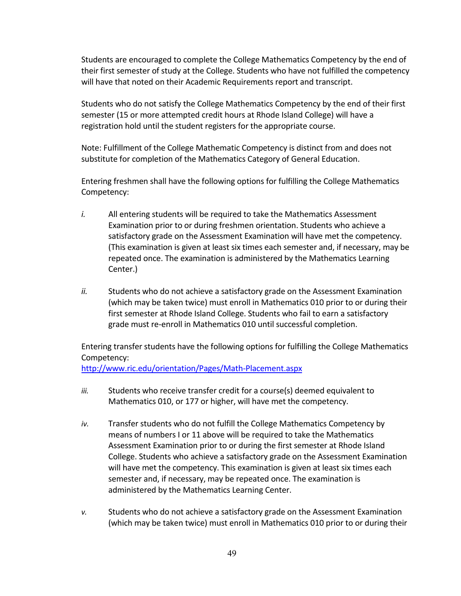Students are encouraged to complete the College Mathematics Competency by the end of their first semester of study at the College. Students who have not fulfilled the competency will have that noted on their Academic Requirements report and transcript.

Students who do not satisfy the College Mathematics Competency by the end of their first semester (15 or more attempted credit hours at Rhode Island College) will have a registration hold until the student registers for the appropriate course.

Note: Fulfillment of the College Mathematic Competency is distinct from and does not substitute for completion of the Mathematics Category of General Education.

Entering freshmen shall have the following options for fulfilling the College Mathematics Competency:

- *i.* All entering students will be required to take the Mathematics Assessment Examination prior to or during freshmen orientation. Students who achieve a satisfactory grade on the Assessment Examination will have met the competency. (This examination is given at least six times each semester and, if necessary, may be repeated once. The examination is administered by the Mathematics Learning Center.)
- *ii.* Students who do not achieve a satisfactory grade on the Assessment Examination (which may be taken twice) must enroll in Mathematics 010 prior to or during their first semester at Rhode Island College. Students who fail to earn a satisfactory grade must re-enroll in Mathematics 010 until successful completion.

Entering transfer students have the following options for fulfilling the College Mathematics Competency:

<http://www.ric.edu/orientation/Pages/Math-Placement.aspx>

- *iii.* Students who receive transfer credit for a course(s) deemed equivalent to Mathematics 010, or 177 or higher, will have met the competency.
- *iv.* Transfer students who do not fulfill the College Mathematics Competency by means of numbers I or 11 above will be required to take the Mathematics Assessment Examination prior to or during the first semester at Rhode Island College. Students who achieve a satisfactory grade on the Assessment Examination will have met the competency. This examination is given at least six times each semester and, if necessary, may be repeated once. The examination is administered by the Mathematics Learning Center.
- *v.* Students who do not achieve a satisfactory grade on the Assessment Examination (which may be taken twice) must enroll in Mathematics 010 prior to or during their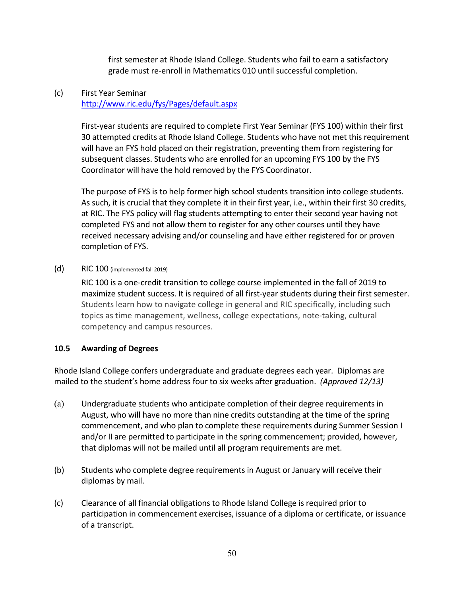first semester at Rhode Island College. Students who fail to earn a satisfactory grade must re-enroll in Mathematics 010 until successful completion.

#### (c) First Year Seminar <http://www.ric.edu/fys/Pages/default.aspx>

First-year students are required to complete First Year Seminar (FYS 100) within their first 30 attempted credits at Rhode Island College. Students who have not met this requirement will have an FYS hold placed on their registration, preventing them from registering for subsequent classes. Students who are enrolled for an upcoming FYS 100 by the FYS Coordinator will have the hold removed by the FYS Coordinator.

The purpose of FYS is to help former high school students transition into college students. As such, it is crucial that they complete it in their first year, i.e., within their first 30 credits, at RIC. The FYS policy will flag students attempting to enter their second year having not completed FYS and not allow them to register for any other courses until they have received necessary advising and/or counseling and have either registered for or proven completion of FYS.

#### (d) RIC 100 (implemented fall 2019)

RIC 100 is a one-credit transition to college course implemented in the fall of 2019 to maximize student success. It is required of all first-year students during their first semester. Students learn how to navigate college in general and RIC specifically, including such topics as time management, wellness, college expectations, note-taking, cultural competency and campus resources.

#### **10.5 Awarding of Degrees**

Rhode Island College confers undergraduate and graduate degrees each year. Diplomas are mailed to the student's home address four to six weeks after graduation. *(Approved 12/13)*

- (a) Undergraduate students who anticipate completion of their degree requirements in August, who will have no more than nine credits outstanding at the time of the spring commencement, and who plan to complete these requirements during Summer Session I and/or II are permitted to participate in the spring commencement; provided, however, that diplomas will not be mailed until all program requirements are met.
- (b) Students who complete degree requirements in August or January will receive their diplomas by mail.
- (c) Clearance of all financial obligations to Rhode Island College is required prior to participation in commencement exercises, issuance of a diploma or certificate, or issuance of a transcript.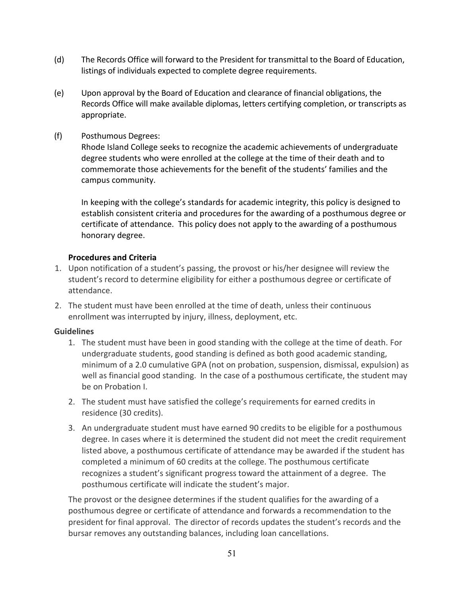- (d) The Records Office will forward to the President for transmittal to the Board of Education, listings of individuals expected to complete degree requirements.
- (e) Upon approval by the Board of Education and clearance of financial obligations, the Records Office will make available diplomas, letters certifying completion, or transcripts as appropriate.
- (f) Posthumous Degrees:

Rhode Island College seeks to recognize the academic achievements of undergraduate degree students who were enrolled at the college at the time of their death and to commemorate those achievements for the benefit of the students' families and the campus community.

In keeping with the college's standards for academic integrity, this policy is designed to establish consistent criteria and procedures for the awarding of a posthumous degree or certificate of attendance. This policy does not apply to the awarding of a posthumous honorary degree.

## **Procedures and Criteria**

- 1. Upon notification of a student's passing, the provost or his/her designee will review the student's record to determine eligibility for either a posthumous degree or certificate of attendance.
- 2. The student must have been enrolled at the time of death, unless their continuous enrollment was interrupted by injury, illness, deployment, etc.

## **Guidelines**

- 1. The student must have been in good standing with the college at the time of death. For undergraduate students, good standing is defined as both good academic standing, minimum of a 2.0 cumulative GPA (not on probation, suspension, dismissal, expulsion) as well as financial good standing. In the case of a posthumous certificate, the student may be on Probation I.
- 2. The student must have satisfied the college's requirements for earned credits in residence (30 credits).
- 3. An undergraduate student must have earned 90 credits to be eligible for a posthumous degree. In cases where it is determined the student did not meet the credit requirement listed above, a posthumous certificate of attendance may be awarded if the student has completed a minimum of 60 credits at the college. The posthumous certificate recognizes a student's significant progress toward the attainment of a degree. The posthumous certificate will indicate the student's major.

The provost or the designee determines if the student qualifies for the awarding of a posthumous degree or certificate of attendance and forwards a recommendation to the president for final approval. The director of records updates the student's records and the bursar removes any outstanding balances, including loan cancellations.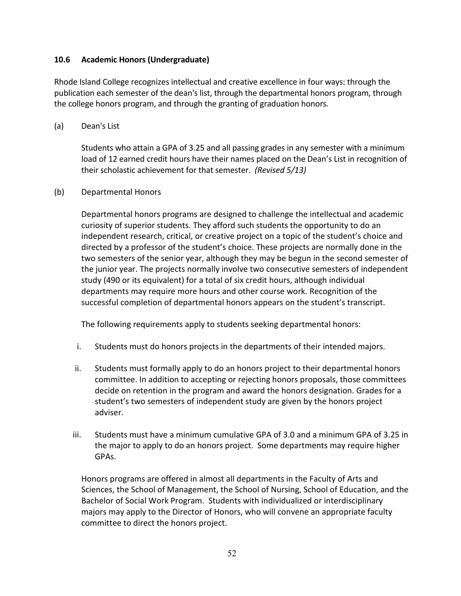#### **10.6 Academic Honors (Undergraduate)**

Rhode Island College recognizes intellectual and creative excellence in four ways: through the publication each semester of the dean's list, through the departmental honors program, through the college honors program, and through the granting of graduation honors.

#### (a) Dean's List

Students who attain a GPA of 3.25 and all passing grades in any semester with a minimum load of 12 earned credit hours have their names placed on the Dean's List in recognition of their scholastic achievement for that semester. *(Revised 5/13)* 

#### (b) Departmental Honors

Departmental honors programs are designed to challenge the intellectual and academic curiosity of superior students. They afford such students the opportunity to do an independent research, critical, or creative project on a topic of the student's choice and directed by a professor of the student's choice. These projects are normally done in the two semesters of the senior year, although they may be begun in the second semester of the junior year. The projects normally involve two consecutive semesters of independent study (490 or its equivalent) for a total of six credit hours, although individual departments may require more hours and other course work. Recognition of the successful completion of departmental honors appears on the student's transcript.

The following requirements apply to students seeking departmental honors:

- i. Students must do honors projects in the departments of their intended majors.
- ii. Students must formally apply to do an honors project to their departmental honors committee. In addition to accepting or rejecting honors proposals, those committees decide on retention in the program and award the honors designation. Grades for a student's two semesters of independent study are given by the honors project adviser.
- iii. Students must have a minimum cumulative GPA of 3.0 and a minimum GPA of 3.25 in the major to apply to do an honors project. Some departments may require higher GPAs.

Honors programs are offered in almost all departments in the Faculty of Arts and Sciences, the School of Management, the School of Nursing, School of Education, and the Bachelor of Social Work Program. Students with individualized or interdisciplinary majors may apply to the Director of Honors, who will convene an appropriate faculty committee to direct the honors project.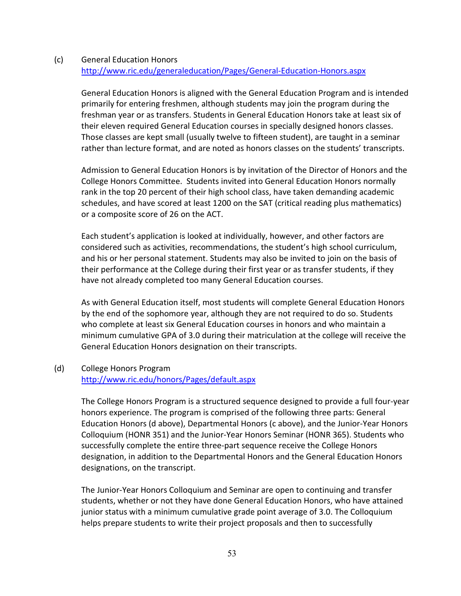#### (c) General Education Honors <http://www.ric.edu/generaleducation/Pages/General-Education-Honors.aspx>

General Education Honors is aligned with the General Education Program and is intended primarily for entering freshmen, although students may join the program during the freshman year or as transfers. Students in General Education Honors take at least six of their eleven required General Education courses in specially designed honors classes. Those classes are kept small (usually twelve to fifteen student), are taught in a seminar rather than lecture format, and are noted as honors classes on the students' transcripts.

Admission to General Education Honors is by invitation of the Director of Honors and the College Honors Committee. Students invited into General Education Honors normally rank in the top 20 percent of their high school class, have taken demanding academic schedules, and have scored at least 1200 on the SAT (critical reading plus mathematics) or a composite score of 26 on the ACT.

Each student's application is looked at individually, however, and other factors are considered such as activities, recommendations, the student's high school curriculum, and his or her personal statement. Students may also be invited to join on the basis of their performance at the College during their first year or as transfer students, if they have not already completed too many General Education courses.

As with General Education itself, most students will complete General Education Honors by the end of the sophomore year, although they are not required to do so. Students who complete at least six General Education courses in honors and who maintain a minimum cumulative GPA of 3.0 during their matriculation at the college will receive the General Education Honors designation on their transcripts.

## (d) College Honors Program <http://www.ric.edu/honors/Pages/default.aspx>

The College Honors Program is a structured sequence designed to provide a full four-year honors experience. The program is comprised of the following three parts: General Education Honors (d above), Departmental Honors (c above), and the Junior-Year Honors Colloquium (HONR 351) and the Junior-Year Honors Seminar (HONR 365). Students who successfully complete the entire three-part sequence receive the College Honors designation, in addition to the Departmental Honors and the General Education Honors designations, on the transcript.

The Junior-Year Honors Colloquium and Seminar are open to continuing and transfer students, whether or not they have done General Education Honors, who have attained junior status with a minimum cumulative grade point average of 3.0. The Colloquium helps prepare students to write their project proposals and then to successfully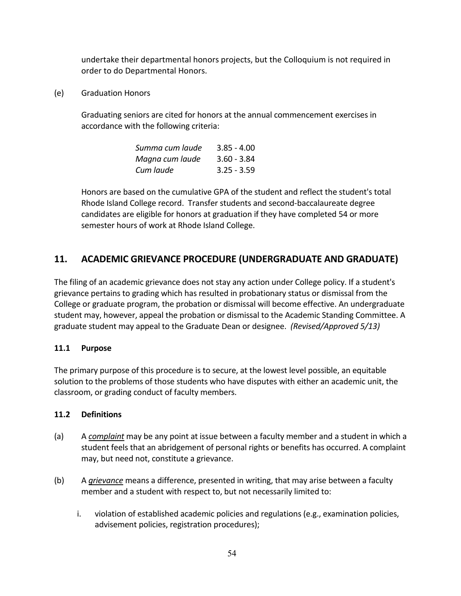undertake their departmental honors projects, but the Colloquium is not required in order to do Departmental Honors.

(e) Graduation Honors

Graduating seniors are cited for honors at the annual commencement exercises in accordance with the following criteria:

| Summa cum laude | $3.85 - 4.00$ |
|-----------------|---------------|
| Magna cum laude | $3.60 - 3.84$ |
| Cum laude       | $3.25 - 3.59$ |

Honors are based on the cumulative GPA of the student and reflect the student's total Rhode Island College record. Transfer students and second-baccalaureate degree candidates are eligible for honors at graduation if they have completed 54 or more semester hours of work at Rhode Island College.

# **11. ACADEMIC GRIEVANCE PROCEDURE (UNDERGRADUATE AND GRADUATE)**

The filing of an academic grievance does not stay any action under College policy. If a student's grievance pertains to grading which has resulted in probationary status or dismissal from the College or graduate program, the probation or dismissal will become effective. An undergraduate student may, however, appeal the probation or dismissal to the Academic Standing Committee. A graduate student may appeal to the Graduate Dean or designee. *(Revised/Approved 5/13)* 

## **11.1 Purpose**

The primary purpose of this procedure is to secure, at the lowest level possible, an equitable solution to the problems of those students who have disputes with either an academic unit, the classroom, or grading conduct of faculty members.

#### **11.2 Definitions**

- (a) A *complaint* may be any point at issue between a faculty member and a student in which a student feels that an abridgement of personal rights or benefits has occurred. A complaint may, but need not, constitute a grievance.
- (b) A *grievance* means a difference, presented in writing, that may arise between a faculty member and a student with respect to, but not necessarily limited to:
	- i. violation of established academic policies and regulations (e.g., examination policies, advisement policies, registration procedures);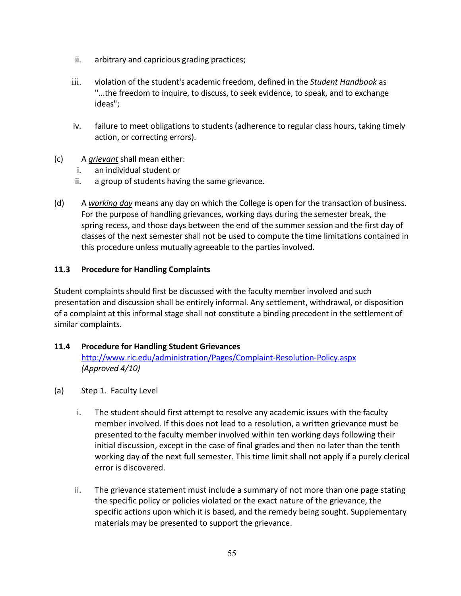- ii. arbitrary and capricious grading practices;
- iii. violation of the student's academic freedom, defined in the *Student Handbook* as "...the freedom to inquire, to discuss, to seek evidence, to speak, and to exchange ideas";
- iv. failure to meet obligations to students (adherence to regular class hours, taking timely action, or correcting errors).
- (c) A *grievant* shall mean either:
	- i. an individual student or
	- ii. a group of students having the same grievance.
- (d) A *working day* means any day on which the College is open for the transaction of business. For the purpose of handling grievances, working days during the semester break, the spring recess, and those days between the end of the summer session and the first day of classes of the next semester shall not be used to compute the time limitations contained in this procedure unless mutually agreeable to the parties involved.

## **11.3 Procedure for Handling Complaints**

Student complaints should first be discussed with the faculty member involved and such presentation and discussion shall be entirely informal. Any settlement, withdrawal, or disposition of a complaint at this informal stage shall not constitute a binding precedent in the settlement of similar complaints.

## **11.4 Procedure for Handling Student Grievances**

<http://www.ric.edu/administration/Pages/Complaint-Resolution-Policy.aspx> *(Approved 4/10)*

- (a) Step 1. Faculty Level
	- i. The student should first attempt to resolve any academic issues with the faculty member involved. If this does not lead to a resolution, a written grievance must be presented to the faculty member involved within ten working days following their initial discussion, except in the case of final grades and then no later than the tenth working day of the next full semester. This time limit shall not apply if a purely clerical error is discovered.
	- ii. The grievance statement must include a summary of not more than one page stating the specific policy or policies violated or the exact nature of the grievance, the specific actions upon which it is based, and the remedy being sought. Supplementary materials may be presented to support the grievance.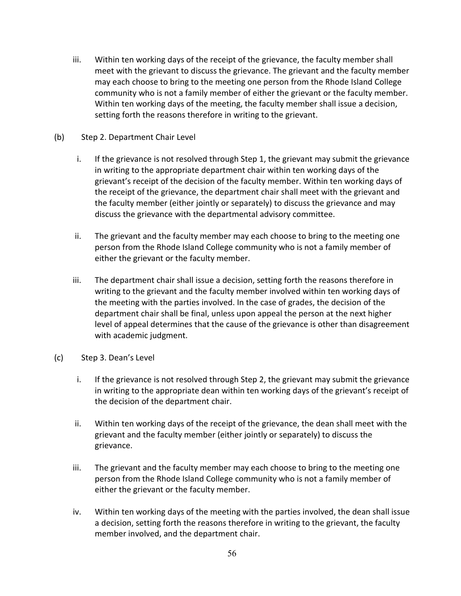- iii. Within ten working days of the receipt of the grievance, the faculty member shall meet with the grievant to discuss the grievance. The grievant and the faculty member may each choose to bring to the meeting one person from the Rhode Island College community who is not a family member of either the grievant or the faculty member. Within ten working days of the meeting, the faculty member shall issue a decision, setting forth the reasons therefore in writing to the grievant.
- (b) Step 2. Department Chair Level
	- i. If the grievance is not resolved through Step 1, the grievant may submit the grievance in writing to the appropriate department chair within ten working days of the grievant's receipt of the decision of the faculty member. Within ten working days of the receipt of the grievance, the department chair shall meet with the grievant and the faculty member (either jointly or separately) to discuss the grievance and may discuss the grievance with the departmental advisory committee.
	- ii. The grievant and the faculty member may each choose to bring to the meeting one person from the Rhode Island College community who is not a family member of either the grievant or the faculty member.
	- iii. The department chair shall issue a decision, setting forth the reasons therefore in writing to the grievant and the faculty member involved within ten working days of the meeting with the parties involved. In the case of grades, the decision of the department chair shall be final, unless upon appeal the person at the next higher level of appeal determines that the cause of the grievance is other than disagreement with academic judgment.
- (c) Step 3. Dean's Level
	- i. If the grievance is not resolved through Step 2, the grievant may submit the grievance in writing to the appropriate dean within ten working days of the grievant's receipt of the decision of the department chair.
	- ii. Within ten working days of the receipt of the grievance, the dean shall meet with the grievant and the faculty member (either jointly or separately) to discuss the grievance.
	- iii. The grievant and the faculty member may each choose to bring to the meeting one person from the Rhode Island College community who is not a family member of either the grievant or the faculty member.
	- iv. Within ten working days of the meeting with the parties involved, the dean shall issue a decision, setting forth the reasons therefore in writing to the grievant, the faculty member involved, and the department chair.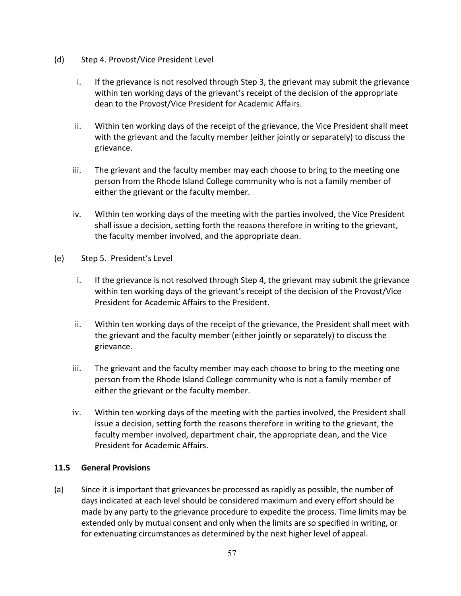- (d) Step 4. Provost/Vice President Level
	- i. If the grievance is not resolved through Step 3, the grievant may submit the grievance within ten working days of the grievant's receipt of the decision of the appropriate dean to the Provost/Vice President for Academic Affairs.
	- ii. Within ten working days of the receipt of the grievance, the Vice President shall meet with the grievant and the faculty member (either jointly or separately) to discuss the grievance.
	- iii. The grievant and the faculty member may each choose to bring to the meeting one person from the Rhode Island College community who is not a family member of either the grievant or the faculty member.
	- iv. Within ten working days of the meeting with the parties involved, the Vice President shall issue a decision, setting forth the reasons therefore in writing to the grievant, the faculty member involved, and the appropriate dean.
- (e) Step 5. President's Level
	- i. If the grievance is not resolved through Step 4, the grievant may submit the grievance within ten working days of the grievant's receipt of the decision of the Provost/Vice President for Academic Affairs to the President.
	- ii. Within ten working days of the receipt of the grievance, the President shall meet with the grievant and the faculty member (either jointly or separately) to discuss the grievance.
	- iii. The grievant and the faculty member may each choose to bring to the meeting one person from the Rhode Island College community who is not a family member of either the grievant or the faculty member.
	- iv. Within ten working days of the meeting with the parties involved, the President shall issue a decision, setting forth the reasons therefore in writing to the grievant, the faculty member involved, department chair, the appropriate dean, and the Vice President for Academic Affairs.

## **11.5 General Provisions**

(a) Since it is important that grievances be processed as rapidly as possible, the number of days indicated at each level should be considered maximum and every effort should be made by any party to the grievance procedure to expedite the process. Time limits may be extended only by mutual consent and only when the limits are so specified in writing, or for extenuating circumstances as determined by the next higher level of appeal.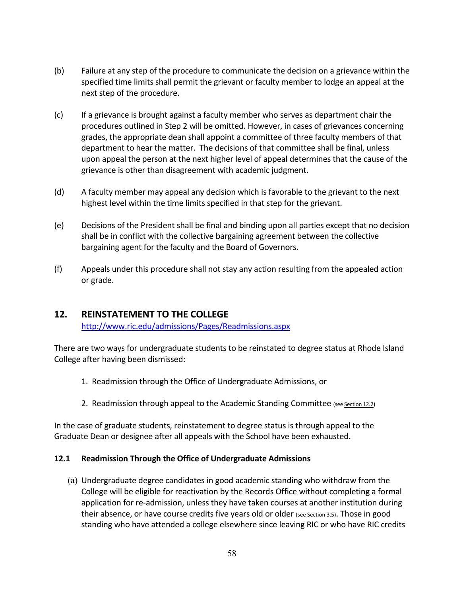- (b) Failure at any step of the procedure to communicate the decision on a grievance within the specified time limits shall permit the grievant or faculty member to lodge an appeal at the next step of the procedure.
- (c) If a grievance is brought against a faculty member who serves as department chair the procedures outlined in Step 2 will be omitted. However, in cases of grievances concerning grades, the appropriate dean shall appoint a committee of three faculty members of that department to hear the matter. The decisions of that committee shall be final, unless upon appeal the person at the next higher level of appeal determines that the cause of the grievance is other than disagreement with academic judgment.
- (d) A faculty member may appeal any decision which is favorable to the grievant to the next highest level within the time limits specified in that step for the grievant.
- (e) Decisions of the President shall be final and binding upon all parties except that no decision shall be in conflict with the collective bargaining agreement between the collective bargaining agent for the faculty and the Board of Governors.
- (f) Appeals under this procedure shall not stay any action resulting from the appealed action or grade.

# **12. REINSTATEMENT TO THE COLLEGE**

<http://www.ric.edu/admissions/Pages/Readmissions.aspx>

There are two ways for undergraduate students to be reinstated to degree status at Rhode Island College after having been dismissed:

- 1. Readmission through the Office of Undergraduate Admissions, or
- 2. Readmission through appeal to the Academic Standing Committee (see Section 12.2)

In the case of graduate students, reinstatement to degree status is through appeal to the Graduate Dean or designee after all appeals with the School have been exhausted.

## **12.1 Readmission Through the Office of Undergraduate Admissions**

(a) Undergraduate degree candidates in good academic standing who withdraw from the College will be eligible for reactivation by the Records Office without completing a formal application for re-admission, unless they have taken courses at another institution during their absence, or have course credits five years old or older (see Section 3.5). Those in good standing who have attended a college elsewhere since leaving RIC or who have RIC credits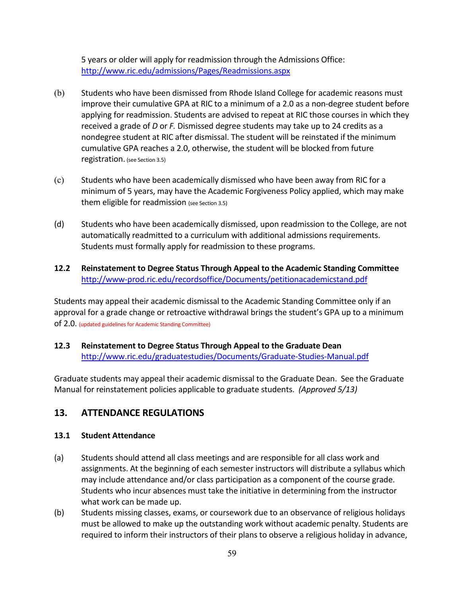5 years or older will apply for readmission through the Admissions Office: <http://www.ric.edu/admissions/Pages/Readmissions.aspx>

- (b) Students who have been dismissed from Rhode Island College for academic reasons must improve their cumulative GPA at RIC to a minimum of a 2.0 as a non-degree student before applying for readmission. Students are advised to repeat at RIC those courses in which they received a grade of *D* or *F.* Dismissed degree students may take up to 24 credits as a nondegree student at RIC after dismissal. The student will be reinstated if the minimum cumulative GPA reaches a 2.0, otherwise, the student will be blocked from future registration. (see Section 3.5)
- (c) Students who have been academically dismissed who have been away from RIC for a minimum of 5 years, may have the Academic Forgiveness Policy applied, which may make them eligible for readmission (see Section 3.5)
- (d) Students who have been academically dismissed, upon readmission to the College, are not automatically readmitted to a curriculum with additional admissions requirements. Students must formally apply for readmission to these programs.
- **12.2 Reinstatement to Degree Status Through Appeal to the Academic Standing Committee** <http://www-prod.ric.edu/recordsoffice/Documents/petitionacademicstand.pdf>

Students may appeal their academic dismissal to the Academic Standing Committee only if an approval for a grade change or retroactive withdrawal brings the student's GPA up to a minimum of 2.0. (updated guidelines for Academic Standing Committee)

**12.3 Reinstatement to Degree Status Through Appeal to the Graduate Dean** <http://www.ric.edu/graduatestudies/Documents/Graduate-Studies-Manual.pdf>

Graduate students may appeal their academic dismissal to the Graduate Dean. See the Graduate Manual for reinstatement policies applicable to graduate students. *(Approved 5/13)*

# **13. ATTENDANCE REGULATIONS**

#### **13.1 Student Attendance**

- (a) Students should attend all class meetings and are responsible for all class work and assignments. At the beginning of each semester instructors will distribute a syllabus which may include attendance and/or class participation as a component of the course grade. Students who incur absences must take the initiative in determining from the instructor what work can be made up.
- (b) Students missing classes, exams, or coursework due to an observance of religious holidays must be allowed to make up the outstanding work without academic penalty. Students are required to inform their instructors of their plans to observe a religious holiday in advance,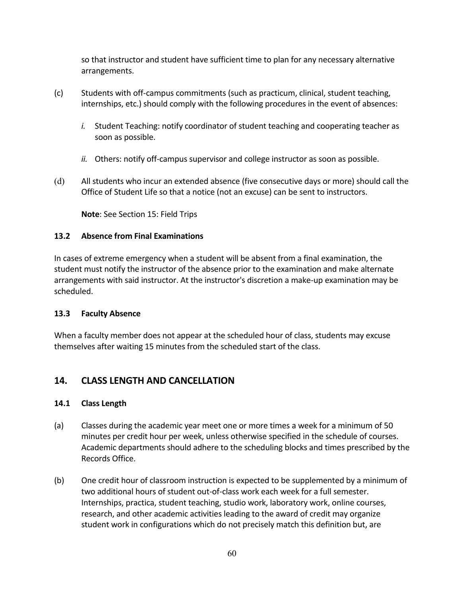so that instructor and student have sufficient time to plan for any necessary alternative arrangements.

- (c) Students with off-campus commitments (such as practicum, clinical, student teaching, internships, etc.) should comply with the following procedures in the event of absences:
	- *i.* Student Teaching: notify coordinator of student teaching and cooperating teacher as soon as possible.
	- *ii.* Others: notify off-campus supervisor and college instructor as soon as possible.
- (d) All students who incur an extended absence (five consecutive days or more) should call the Office of Student Life so that a notice (not an excuse) can be sent to instructors.

**Note**: See Section 15: Field Trips

## **13.2 Absence from Final Examinations**

In cases of extreme emergency when a student will be absent from a final examination, the student must notify the instructor of the absence prior to the examination and make alternate arrangements with said instructor. At the instructor's discretion a make-up examination may be scheduled.

## **13.3 Faculty Absence**

When a faculty member does not appear at the scheduled hour of class, students may excuse themselves after waiting 15 minutes from the scheduled start of the class.

## **14. CLASS LENGTH AND CANCELLATION**

## **14.1 Class Length**

- (a) Classes during the academic year meet one or more times a week for a minimum of 50 minutes per credit hour per week, unless otherwise specified in the schedule of courses. Academic departments should adhere to the scheduling blocks and times prescribed by the Records Office.
- (b) One credit hour of classroom instruction is expected to be supplemented by a minimum of two additional hours of student out-of-class work each week for a full semester. Internships, practica, student teaching, studio work, laboratory work, online courses, research, and other academic activities leading to the award of credit may organize student work in configurations which do not precisely match this definition but, are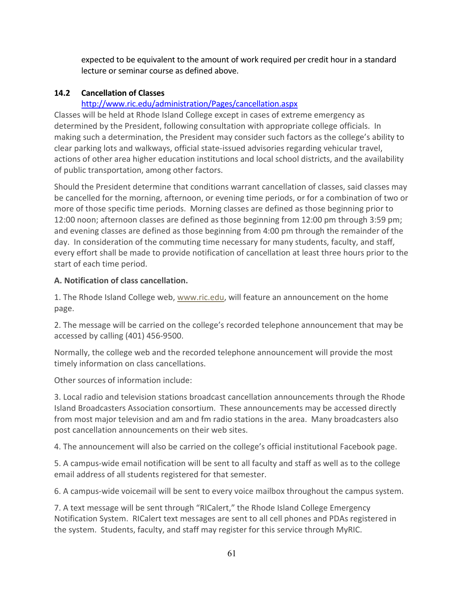expected to be equivalent to the amount of work required per credit hour in a standard lecture or seminar course as defined above.

## **14.2 Cancellation of Classes**

# <http://www.ric.edu/administration/Pages/cancellation.aspx>

Classes will be held at Rhode Island College except in cases of extreme emergency as determined by the President, following consultation with appropriate college officials. In making such a determination, the President may consider such factors as the college's ability to clear parking lots and walkways, official state-issued advisories regarding vehicular travel, actions of other area higher education institutions and local school districts, and the availability of public transportation, among other factors.

Should the President determine that conditions warrant cancellation of classes, said classes may be cancelled for the morning, afternoon, or evening time periods, or for a combination of two or more of those specific time periods. Morning classes are defined as those beginning prior to 12:00 noon; afternoon classes are defined as those beginning from 12:00 pm through 3:59 pm; and evening classes are defined as those beginning from 4:00 pm through the remainder of the day. In consideration of the commuting time necessary for many students, faculty, and staff, every effort shall be made to provide notification of cancellation at least three hours prior to the start of each time period.

## **A. Notification of class cancellation.**

1. The Rhode Island College web, [www.ric.edu,](http://www.ric.edu/pages/default.aspx) will feature an announcement on the home page.

2. The message will be carried on the college's recorded telephone announcement that may be accessed by calling (401) 456-9500.

Normally, the college web and the recorded telephone announcement will provide the most timely information on class cancellations.

Other sources of information include:

3. Local radio and television stations broadcast cancellation announcements through the Rhode Island Broadcasters Association consortium. These announcements may be accessed directly from most major television and am and fm radio stations in the area. Many broadcasters also post cancellation announcements on their web sites.

4. The announcement will also be carried on the college's official institutional Facebook page.

5. A campus-wide email notification will be sent to all faculty and staff as well as to the college email address of all students registered for that semester.

6. A campus-wide voicemail will be sent to every voice mailbox throughout the campus system.

7. A text message will be sent through "RICalert," the Rhode Island College Emergency Notification System. RICalert text messages are sent to all cell phones and PDAs registered in the system. Students, faculty, and staff may register for this service through MyRIC.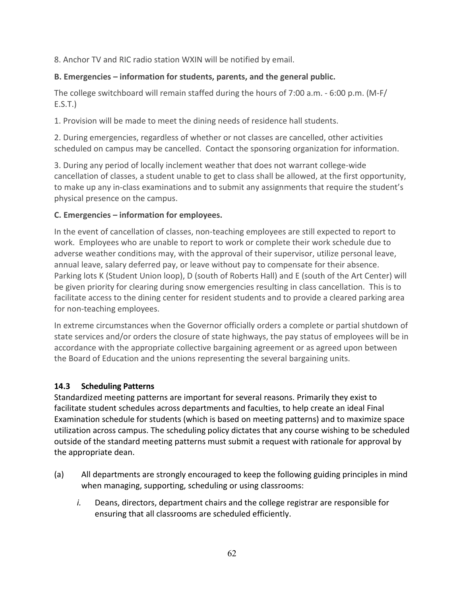8. Anchor TV and RIC radio station WXIN will be notified by email.

# **B. Emergencies – information for students, parents, and the general public.**

The college switchboard will remain staffed during the hours of 7:00 a.m. - 6:00 p.m. (M-F/  $E.S.T.$ )

1. Provision will be made to meet the dining needs of residence hall students.

2. During emergencies, regardless of whether or not classes are cancelled, other activities scheduled on campus may be cancelled. Contact the sponsoring organization for information.

3. During any period of locally inclement weather that does not warrant college-wide cancellation of classes, a student unable to get to class shall be allowed, at the first opportunity, to make up any in-class examinations and to submit any assignments that require the student's physical presence on the campus.

## **C. Emergencies – information for employees.**

In the event of cancellation of classes, non-teaching employees are still expected to report to work. Employees who are unable to report to work or complete their work schedule due to adverse weather conditions may, with the approval of their supervisor, utilize personal leave, annual leave, salary deferred pay, or leave without pay to compensate for their absence. Parking lots K (Student Union loop), D (south of Roberts Hall) and E (south of the Art Center) will be given priority for clearing during snow emergencies resulting in class cancellation. This is to facilitate access to the dining center for resident students and to provide a cleared parking area for non-teaching employees.

In extreme circumstances when the Governor officially orders a complete or partial shutdown of state services and/or orders the closure of state highways, the pay status of employees will be in accordance with the appropriate collective bargaining agreement or as agreed upon between the Board of Education and the unions representing the several bargaining units.

## **14.3 Scheduling Patterns**

Standardized meeting patterns are important for several reasons. Primarily they exist to facilitate student schedules across departments and faculties, to help create an ideal Final Examination schedule for students (which is based on meeting patterns) and to maximize space utilization across campus. The scheduling policy dictates that any course wishing to be scheduled outside of the standard meeting patterns must submit a request with rationale for approval by the appropriate dean.

- (a) All departments are strongly encouraged to keep the following guiding principles in mind when managing, supporting, scheduling or using classrooms:
	- *i.* Deans, directors, department chairs and the college registrar are responsible for ensuring that all classrooms are scheduled efficiently.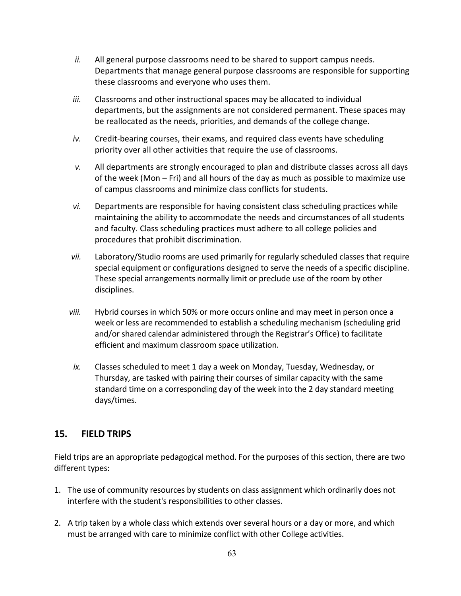- *ii.* All general purpose classrooms need to be shared to support campus needs. Departments that manage general purpose classrooms are responsible for supporting these classrooms and everyone who uses them.
- *iii.* Classrooms and other instructional spaces may be allocated to individual departments, but the assignments are not considered permanent. These spaces may be reallocated as the needs, priorities, and demands of the college change.
- *iv.* Credit-bearing courses, their exams, and required class events have scheduling priority over all other activities that require the use of classrooms.
- *v.* All departments are strongly encouraged to plan and distribute classes across all days of the week (Mon – Fri) and all hours of the day as much as possible to maximize use of campus classrooms and minimize class conflicts for students.
- *vi.* Departments are responsible for having consistent class scheduling practices while maintaining the ability to accommodate the needs and circumstances of all students and faculty. Class scheduling practices must adhere to all college policies and procedures that prohibit discrimination.
- *vii.* Laboratory/Studio rooms are used primarily for regularly scheduled classes that require special equipment or configurations designed to serve the needs of a specific discipline. These special arrangements normally limit or preclude use of the room by other disciplines.
- *viii.* Hybrid courses in which 50% or more occurs online and may meet in person once a week or less are recommended to establish a scheduling mechanism (scheduling grid and/or shared calendar administered through the Registrar's Office) to facilitate efficient and maximum classroom space utilization.
- *ix.* Classes scheduled to meet 1 day a week on Monday, Tuesday, Wednesday, or Thursday, are tasked with pairing their courses of similar capacity with the same standard time on a corresponding day of the week into the 2 day standard meeting days/times.

## **15. FIELD TRIPS**

Field trips are an appropriate pedagogical method. For the purposes of this section, there are two different types:

- 1. The use of community resources by students on class assignment which ordinarily does not interfere with the student's responsibilities to other classes.
- 2. A trip taken by a whole class which extends over several hours or a day or more, and which must be arranged with care to minimize conflict with other College activities.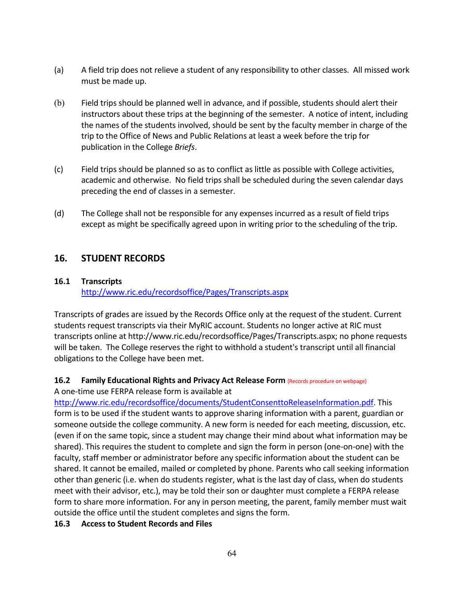- (a) A field trip does not relieve a student of any responsibility to other classes. All missed work must be made up.
- (b) Field trips should be planned well in advance, and if possible, students should alert their instructors about these trips at the beginning of the semester. A notice of intent, including the names of the students involved, should be sent by the faculty member in charge of the trip to the Office of News and Public Relations at least a week before the trip for publication in the College *Briefs*.
- (c) Field trips should be planned so as to conflict as little as possible with College activities, academic and otherwise. No field trips shall be scheduled during the seven calendar days preceding the end of classes in a semester.
- (d) The College shall not be responsible for any expenses incurred as a result of field trips except as might be specifically agreed upon in writing prior to the scheduling of the trip.

# **16. STUDENT RECORDS**

## **16.1 Transcripts**

<http://www.ric.edu/recordsoffice/Pages/Transcripts.aspx>

Transcripts of grades are issued by the Records Office only at the request of the student. Current students request transcripts via their MyRIC account. Students no longer active at RIC must transcripts online at http://www.ric.edu/recordsoffice/Pages/Transcripts.aspx; no phone requests will be taken. The College reserves the right to withhold a student's transcript until all financial obligations to the College have been met.

## **16.2 Family Educational Rights and Privacy Act Release Form (Records procedure on webpage)**

A one-time use FERPA release form is available at

[http://www.ric.edu/recordsoffice/documents/StudentConsenttoReleaseInformation.pdf.](http://www.ric.edu/recordsoffice/documents/StudentConsenttoReleaseInformation.pdf) This form is to be used if the student wants to approve sharing information with a parent, guardian or someone outside the college community. A new form is needed for each meeting, discussion, etc. (even if on the same topic, since a student may change their mind about what information may be shared). This requires the student to complete and sign the form in person (one-on-one) with the faculty, staff member or administrator before any specific information about the student can be shared. It cannot be emailed, mailed or completed by phone. Parents who call seeking information other than generic (i.e. when do students register, what is the last day of class, when do students meet with their advisor, etc.), may be told their son or daughter must complete a FERPA release form to share more information. For any in person meeting, the parent, family member must wait outside the office until the student completes and signs the form.

## **16.3 Access to Student Records and Files**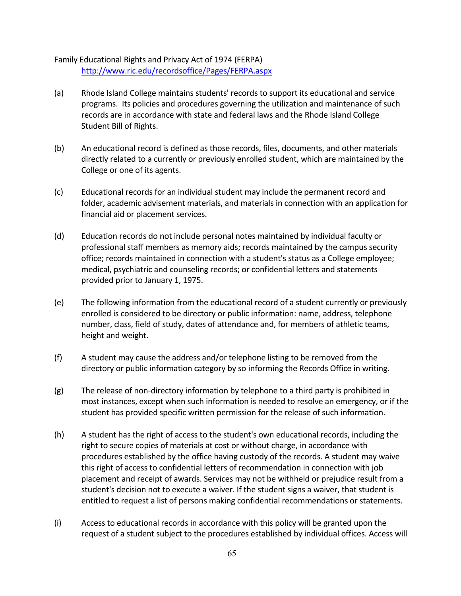Family Educational Rights and Privacy Act of 1974 (FERPA) <http://www.ric.edu/recordsoffice/Pages/FERPA.aspx>

- (a) Rhode Island College maintains students' records to support its educational and service programs. Its policies and procedures governing the utilization and maintenance of such records are in accordance with state and federal laws and the Rhode Island College Student Bill of Rights.
- (b) An educational record is defined as those records, files, documents, and other materials directly related to a currently or previously enrolled student, which are maintained by the College or one of its agents.
- (c) Educational records for an individual student may include the permanent record and folder, academic advisement materials, and materials in connection with an application for financial aid or placement services.
- (d) Education records do not include personal notes maintained by individual faculty or professional staff members as memory aids; records maintained by the campus security office; records maintained in connection with a student's status as a College employee; medical, psychiatric and counseling records; or confidential letters and statements provided prior to January 1, 1975.
- (e) The following information from the educational record of a student currently or previously enrolled is considered to be directory or public information: name, address, telephone number, class, field of study, dates of attendance and, for members of athletic teams, height and weight.
- (f) A student may cause the address and/or telephone listing to be removed from the directory or public information category by so informing the Records Office in writing.
- (g) The release of non-directory information by telephone to a third party is prohibited in most instances, except when such information is needed to resolve an emergency, or if the student has provided specific written permission for the release of such information.
- (h) A student has the right of access to the student's own educational records, including the right to secure copies of materials at cost or without charge, in accordance with procedures established by the office having custody of the records. A student may waive this right of access to confidential letters of recommendation in connection with job placement and receipt of awards. Services may not be withheld or prejudice result from a student's decision not to execute a waiver. If the student signs a waiver, that student is entitled to request a list of persons making confidential recommendations or statements.
- (i) Access to educational records in accordance with this policy will be granted upon the request of a student subject to the procedures established by individual offices. Access will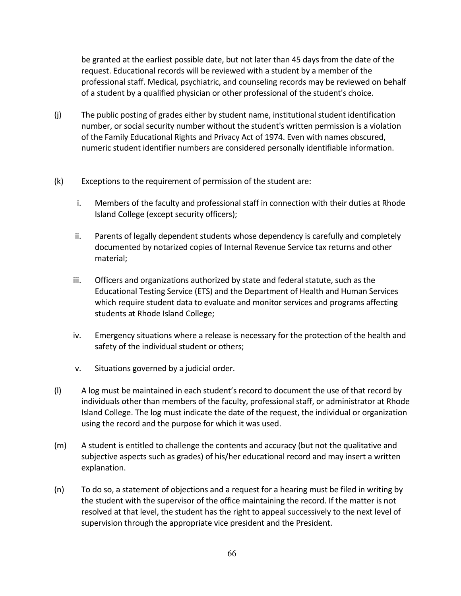be granted at the earliest possible date, but not later than 45 days from the date of the request. Educational records will be reviewed with a student by a member of the professional staff. Medical, psychiatric, and counseling records may be reviewed on behalf of a student by a qualified physician or other professional of the student's choice.

- (j) The public posting of grades either by student name, institutional student identification number, or social security number without the student's written permission is a violation of the Family Educational Rights and Privacy Act of 1974. Even with names obscured, numeric student identifier numbers are considered personally identifiable information.
- (k) Exceptions to the requirement of permission of the student are:
	- i. Members of the faculty and professional staff in connection with their duties at Rhode Island College (except security officers);
	- ii. Parents of legally dependent students whose dependency is carefully and completely documented by notarized copies of Internal Revenue Service tax returns and other material;
	- iii. Officers and organizations authorized by state and federal statute, such as the Educational Testing Service (ETS) and the Department of Health and Human Services which require student data to evaluate and monitor services and programs affecting students at Rhode Island College;
	- iv. Emergency situations where a release is necessary for the protection of the health and safety of the individual student or others;
	- v. Situations governed by a judicial order.
- (l) A log must be maintained in each student's record to document the use of that record by individuals other than members of the faculty, professional staff, or administrator at Rhode Island College. The log must indicate the date of the request, the individual or organization using the record and the purpose for which it was used.
- (m) A student is entitled to challenge the contents and accuracy (but not the qualitative and subjective aspects such as grades) of his/her educational record and may insert a written explanation.
- (n) To do so, a statement of objections and a request for a hearing must be filed in writing by the student with the supervisor of the office maintaining the record. If the matter is not resolved at that level, the student has the right to appeal successively to the next level of supervision through the appropriate vice president and the President.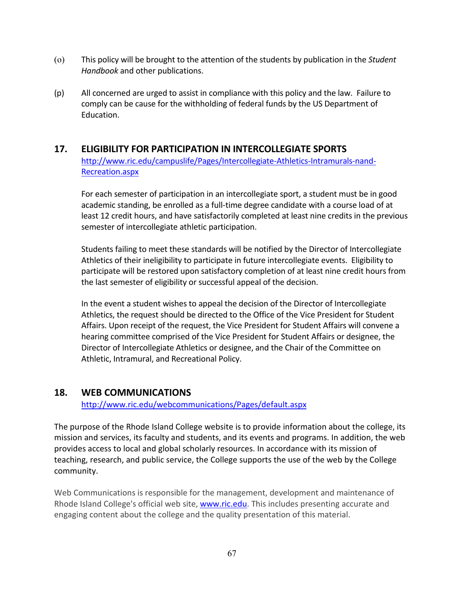- (o) This policy will be brought to the attention of the students by publication in the *Student Handbook* and other publications.
- (p) All concerned are urged to assist in compliance with this policy and the law. Failure to comply can be cause for the withholding of federal funds by the US Department of Education.

# **17. ELIGIBILITY FOR PARTICIPATION IN INTERCOLLEGIATE SPORTS** [http://www.ric.edu/campuslife/Pages/Intercollegiate-Athletics-Intramurals-nand-](http://www.ric.edu/campuslife/Pages/Intercollegiate-Athletics-Intramurals-nand-Recreation.aspx)[Recreation.aspx](http://www.ric.edu/campuslife/Pages/Intercollegiate-Athletics-Intramurals-nand-Recreation.aspx)

For each semester of participation in an intercollegiate sport, a student must be in good academic standing, be enrolled as a full-time degree candidate with a course load of at least 12 credit hours, and have satisfactorily completed at least nine credits in the previous semester of intercollegiate athletic participation.

Students failing to meet these standards will be notified by the Director of Intercollegiate Athletics of their ineligibility to participate in future intercollegiate events. Eligibility to participate will be restored upon satisfactory completion of at least nine credit hours from the last semester of eligibility or successful appeal of the decision.

In the event a student wishes to appeal the decision of the Director of Intercollegiate Athletics, the request should be directed to the Office of the Vice President for Student Affairs. Upon receipt of the request, the Vice President for Student Affairs will convene a hearing committee comprised of the Vice President for Student Affairs or designee, the Director of Intercollegiate Athletics or designee, and the Chair of the Committee on Athletic, Intramural, and Recreational Policy.

# **18. WEB COMMUNICATIONS**

<http://www.ric.edu/webcommunications/Pages/default.aspx>

The purpose of the Rhode Island College website is to provide information about the college, its mission and services, its faculty and students, and its events and programs. In addition, the web provides access to local and global scholarly resources. In accordance with its mission of teaching, research, and public service, the College supports the use of the web by the College community.

Web Communications is responsible for the management, development and maintenance of Rhode Island College's official web site[, www.ric.edu.](http://www.ric.edu/) This includes presenting accurate and engaging content about the college and the quality presentation of this material.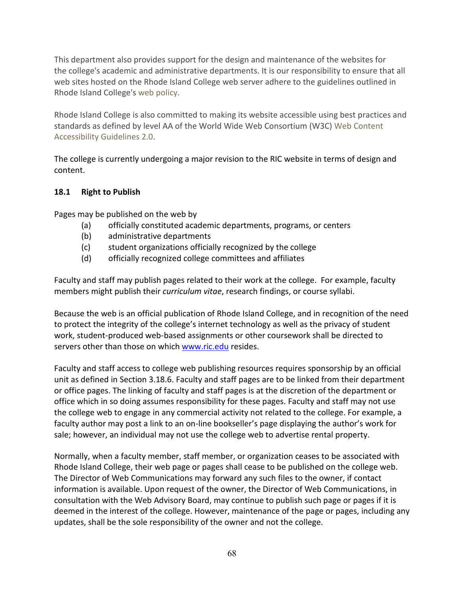This department also provides support for the design and maintenance of the websites for the college's academic and administrative departments. It is our responsibility to ensure that all web sites hosted on the Rhode Island College web server adhere to the guidelines outlined in Rhode Island College's [web policy.](http://www.ric.edu/administration/Documents/WebPolicyrevspring2008.pdf)

Rhode Island College is also committed to making its website accessible using best practices and standards as defined by level AA of the World Wide Web Consortium (W3C) [Web Content](https://www.w3.org/TR/WCAG20/)  [Accessibility Guidelines 2.0.](https://www.w3.org/TR/WCAG20/)

The college is currently undergoing a major revision to the RIC website in terms of design and content.

## **18.1 Right to Publish**

Pages may be published on the web by

- (a) officially constituted academic departments, programs, or centers
- (b) administrative departments
- (c) student organizations officially recognized by the college
- (d) officially recognized college committees and affiliates

Faculty and staff may publish pages related to their work at the college. For example, faculty members might publish their *curriculum vitae*, research findings, or course syllabi.

Because the web is an official publication of Rhode Island College, and in recognition of the need to protect the integrity of the college's internet technology as well as the privacy of student work, student-produced web-based assignments or other coursework shall be directed to servers other than those on which [www.ric.edu](http://www.ric.edu/) resides.

Faculty and staff access to college web publishing resources requires sponsorship by an official unit as defined in Section 3.18.6. Faculty and staff pages are to be linked from their department or office pages. The linking of faculty and staff pages is at the discretion of the department or office which in so doing assumes responsibility for these pages. Faculty and staff may not use the college web to engage in any commercial activity not related to the college. For example, a faculty author may post a link to an on-line bookseller's page displaying the author's work for sale; however, an individual may not use the college web to advertise rental property.

Normally, when a faculty member, staff member, or organization ceases to be associated with Rhode Island College, their web page or pages shall cease to be published on the college web. The Director of Web Communications may forward any such files to the owner, if contact information is available. Upon request of the owner, the Director of Web Communications, in consultation with the Web Advisory Board, may continue to publish such page or pages if it is deemed in the interest of the college. However, maintenance of the page or pages, including any updates, shall be the sole responsibility of the owner and not the college.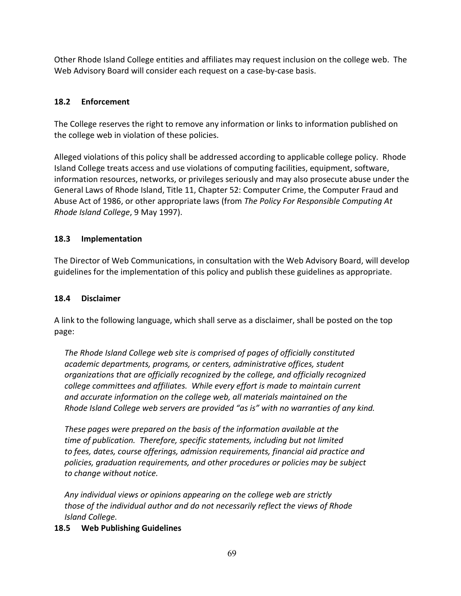Other Rhode Island College entities and affiliates may request inclusion on the college web. The Web Advisory Board will consider each request on a case-by-case basis.

## **18.2 Enforcement**

The College reserves the right to remove any information or links to information published on the college web in violation of these policies.

Alleged violations of this policy shall be addressed according to applicable college policy. Rhode Island College treats access and use violations of computing facilities, equipment, software, information resources, networks, or privileges seriously and may also prosecute abuse under the General Laws of Rhode Island, Title 11, Chapter 52: Computer Crime, the Computer Fraud and Abuse Act of 1986, or other appropriate laws (from *The Policy For Responsible Computing At Rhode Island College*, 9 May 1997).

## **18.3 Implementation**

The Director of Web Communications, in consultation with the Web Advisory Board, will develop guidelines for the implementation of this policy and publish these guidelines as appropriate.

## **18.4 Disclaimer**

A link to the following language, which shall serve as a disclaimer, shall be posted on the top page:

 *The Rhode Island College web site is comprised of pages of officially constituted academic departments, programs, or centers, administrative offices, student organizations that are officially recognized by the college, and officially recognized college committees and affiliates. While every effort is made to maintain current and accurate information on the college web, all materials maintained on the Rhode Island College web servers are provided "as is" with no warranties of any kind.*

 *These pages were prepared on the basis of the information available at the time of publication. Therefore, specific statements, including but not limited to fees, dates, course offerings, admission requirements, financial aid practice and policies, graduation requirements, and other procedures or policies may be subject to change without notice.*

 *Any individual views or opinions appearing on the college web are strictly those of the individual author and do not necessarily reflect the views of Rhode Island College.*

## **18.5 Web Publishing Guidelines**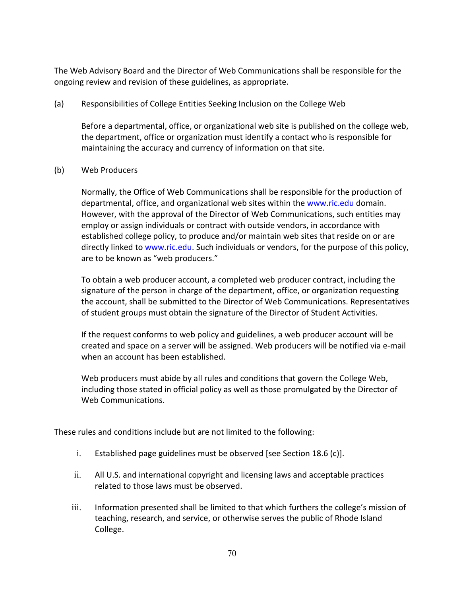The Web Advisory Board and the Director of Web Communications shall be responsible for the ongoing review and revision of these guidelines, as appropriate.

(a) Responsibilities of College Entities Seeking Inclusion on the College Web

Before a departmental, office, or organizational web site is published on the college web, the department, office or organization must identify a contact who is responsible for maintaining the accuracy and currency of information on that site.

(b) Web Producers

Normally, the Office of Web Communications shall be responsible for the production of departmental, office, and organizational web sites within the [www.ric.edu](http://www.ric.edu/) domain. However, with the approval of the Director of Web Communications, such entities may employ or assign individuals or contract with outside vendors, in accordance with established college policy, to produce and/or maintain web sites that reside on or are directly linked to [www.ric.edu.](http://www.ric.edu/) Such individuals or vendors, for the purpose of this policy, are to be known as "web producers."

To obtain a web producer account, a completed web producer contract, including the signature of the person in charge of the department, office, or organization requesting the account, shall be submitted to the Director of Web Communications. Representatives of student groups must obtain the signature of the Director of Student Activities.

If the request conforms to web policy and guidelines, a web producer account will be created and space on a server will be assigned. Web producers will be notified via e-mail when an account has been established.

Web producers must abide by all rules and conditions that govern the College Web, including those stated in official policy as well as those promulgated by the Director of Web Communications.

These rules and conditions include but are not limited to the following:

- i. Established page guidelines must be observed [see Section 18.6 (c)].
- ii. All U.S. and international copyright and licensing laws and acceptable practices related to those laws must be observed.
- iii. Information presented shall be limited to that which furthers the college's mission of teaching, research, and service, or otherwise serves the public of Rhode Island College.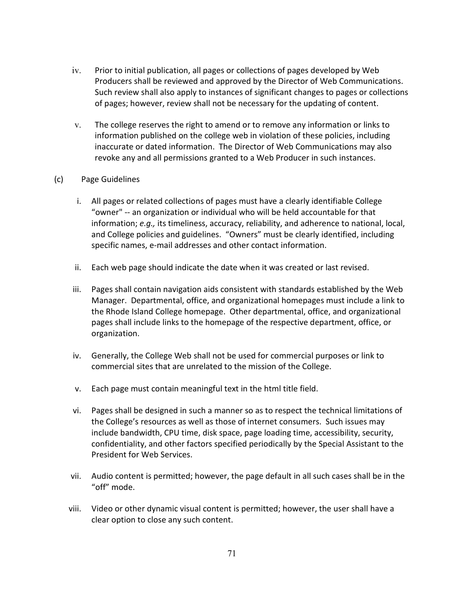- iv. Prior to initial publication, all pages or collections of pages developed by Web Producers shall be reviewed and approved by the Director of Web Communications. Such review shall also apply to instances of significant changes to pages or collections of pages; however, review shall not be necessary for the updating of content.
- v. The college reserves the right to amend or to remove any information or links to information published on the college web in violation of these policies, including inaccurate or dated information. The Director of Web Communications may also revoke any and all permissions granted to a Web Producer in such instances.
- (c) Page Guidelines
	- i. All pages or related collections of pages must have a clearly identifiable College "owner" -- an organization or individual who will be held accountable for that information; *e.g.,* its timeliness, accuracy, reliability, and adherence to national, local, and College policies and guidelines. "Owners" must be clearly identified, including specific names, e-mail addresses and other contact information.
	- ii. Each web page should indicate the date when it was created or last revised.
	- iii. Pages shall contain navigation aids consistent with standards established by the Web Manager. Departmental, office, and organizational homepages must include a link to the Rhode Island College homepage. Other departmental, office, and organizational pages shall include links to the homepage of the respective department, office, or organization.
	- iv. Generally, the College Web shall not be used for commercial purposes or link to commercial sites that are unrelated to the mission of the College.
	- v. Each page must contain meaningful text in the html title field.
	- vi. Pages shall be designed in such a manner so as to respect the technical limitations of the College's resources as well as those of internet consumers. Such issues may include bandwidth, CPU time, disk space, page loading time, accessibility, security, confidentiality, and other factors specified periodically by the Special Assistant to the President for Web Services.
	- vii. Audio content is permitted; however, the page default in all such cases shall be in the "off" mode.
	- viii. Video or other dynamic visual content is permitted; however, the user shall have a clear option to close any such content.